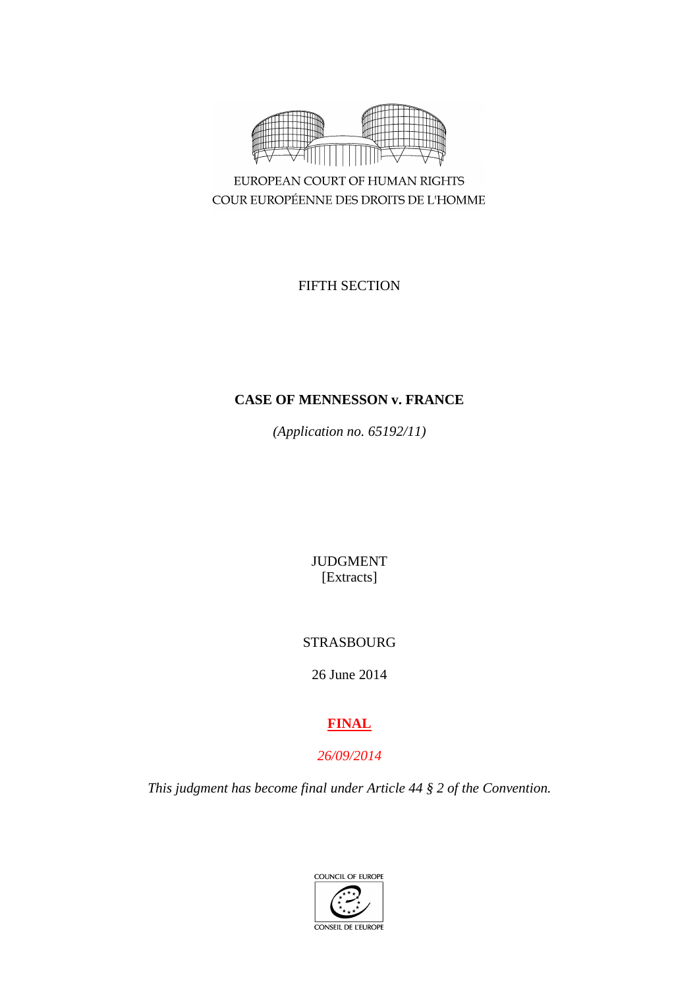

EUROPEAN COURT OF HUMAN RIGHTS COUR EUROPÉENNE DES DROITS DE L'HOMME

# FIFTH SECTION

# **CASE OF MENNESSON v. FRANCE**

*(Application no. 65192/11)*

JUDGMENT [Extracts]

# STRASBOURG

26 June 2014

# **FINAL**

# *26/09/2014*

*This judgment has become final under Article 44 § 2 of the Convention.*

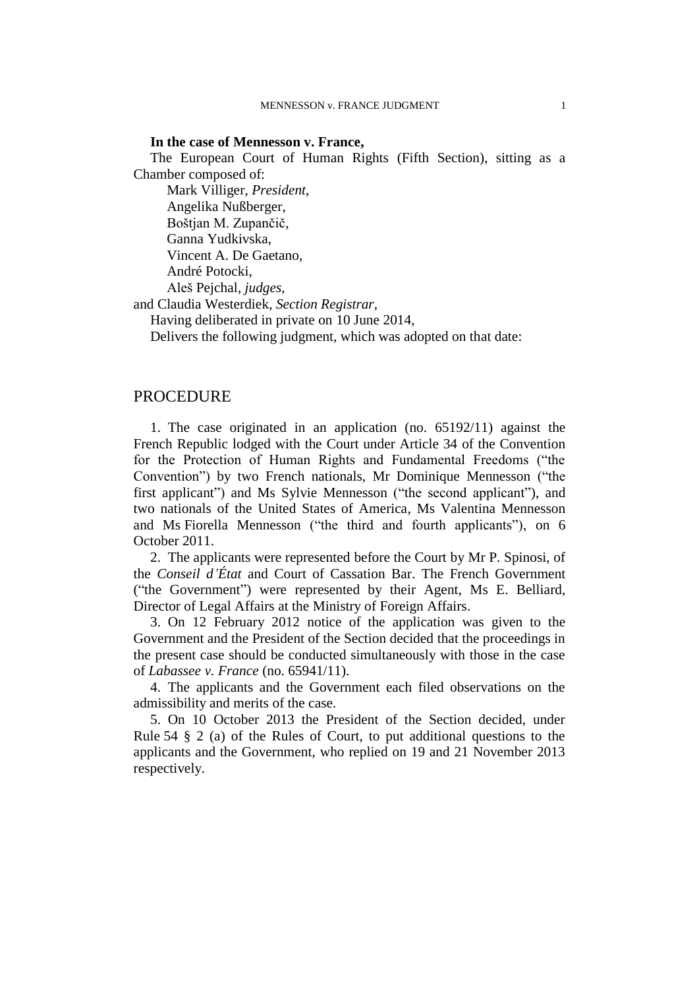#### **In the case of Mennesson v. France,**

The European Court of Human Rights (Fifth Section), sitting as a Chamber composed of:

Mark Villiger, *President*, Angelika Nußberger, Boštjan M. Zupančič, Ganna Yudkivska, Vincent A. De Gaetano, André Potocki, Aleš Pejchal, *judges*,

and Claudia Westerdiek, *Section Registrar*,

Having deliberated in private on 10 June 2014,

Delivers the following judgment, which was adopted on that date:

## PROCEDURE

1. The case originated in an application (no. 65192/11) against the French Republic lodged with the Court under Article 34 of the Convention for the Protection of Human Rights and Fundamental Freedoms ("the Convention") by two French nationals, Mr Dominique Mennesson ("the first applicant") and Ms Sylvie Mennesson ("the second applicant"), and two nationals of the United States of America, Ms Valentina Mennesson and Ms Fiorella Mennesson ("the third and fourth applicants"), on 6 October 2011.

2. The applicants were represented before the Court by Mr P. Spinosi, of the *Conseil d'État* and Court of Cassation Bar. The French Government ("the Government") were represented by their Agent, Ms E. Belliard, Director of Legal Affairs at the Ministry of Foreign Affairs.

3. On 12 February 2012 notice of the application was given to the Government and the President of the Section decided that the proceedings in the present case should be conducted simultaneously with those in the case of *Labassee v. France* (no. 65941/11).

4. The applicants and the Government each filed observations on the admissibility and merits of the case.

5. On 10 October 2013 the President of the Section decided, under Rule 54 § 2 (a) of the Rules of Court, to put additional questions to the applicants and the Government, who replied on 19 and 21 November 2013 respectively.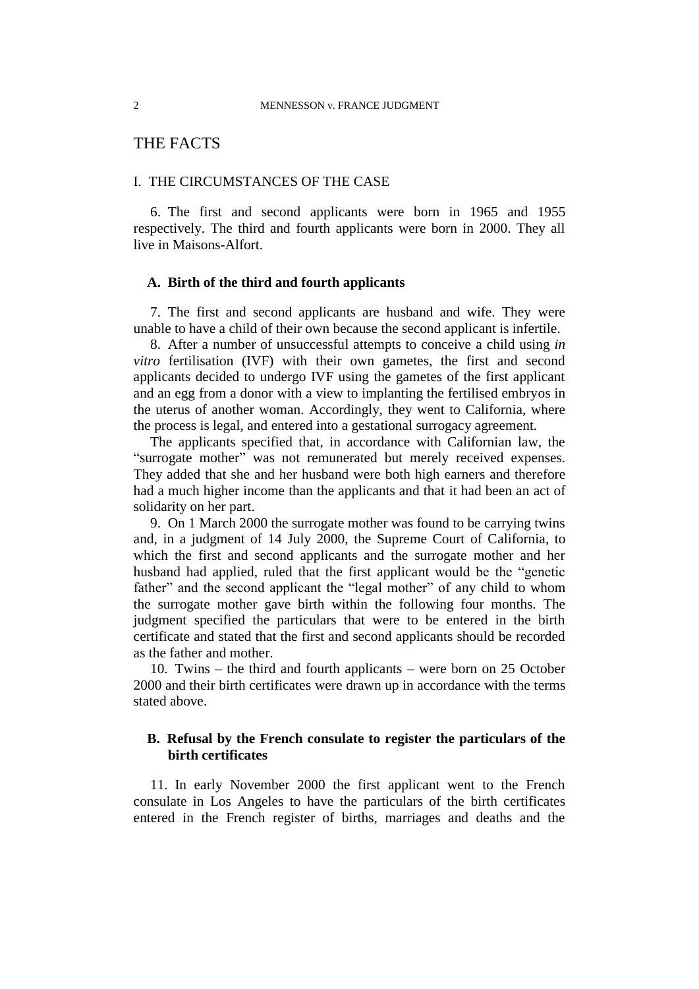# THE FACTS

### I. THE CIRCUMSTANCES OF THE CASE

6. The first and second applicants were born in 1965 and 1955 respectively. The third and fourth applicants were born in 2000. They all live in Maisons-Alfort.

### **A. Birth of the third and fourth applicants**

7. The first and second applicants are husband and wife. They were unable to have a child of their own because the second applicant is infertile.

8. After a number of unsuccessful attempts to conceive a child using *in vitro* fertilisation (IVF) with their own gametes, the first and second applicants decided to undergo IVF using the gametes of the first applicant and an egg from a donor with a view to implanting the fertilised embryos in the uterus of another woman. Accordingly, they went to California, where the process is legal, and entered into a gestational surrogacy agreement.

The applicants specified that, in accordance with Californian law, the "surrogate mother" was not remunerated but merely received expenses. They added that she and her husband were both high earners and therefore had a much higher income than the applicants and that it had been an act of solidarity on her part.

9. On 1 March 2000 the surrogate mother was found to be carrying twins and, in a judgment of 14 July 2000, the Supreme Court of California, to which the first and second applicants and the surrogate mother and her husband had applied, ruled that the first applicant would be the "genetic father" and the second applicant the "legal mother" of any child to whom the surrogate mother gave birth within the following four months. The judgment specified the particulars that were to be entered in the birth certificate and stated that the first and second applicants should be recorded as the father and mother.

10. Twins – the third and fourth applicants – were born on 25 October 2000 and their birth certificates were drawn up in accordance with the terms stated above.

## **B. Refusal by the French consulate to register the particulars of the birth certificates**

11. In early November 2000 the first applicant went to the French consulate in Los Angeles to have the particulars of the birth certificates entered in the French register of births, marriages and deaths and the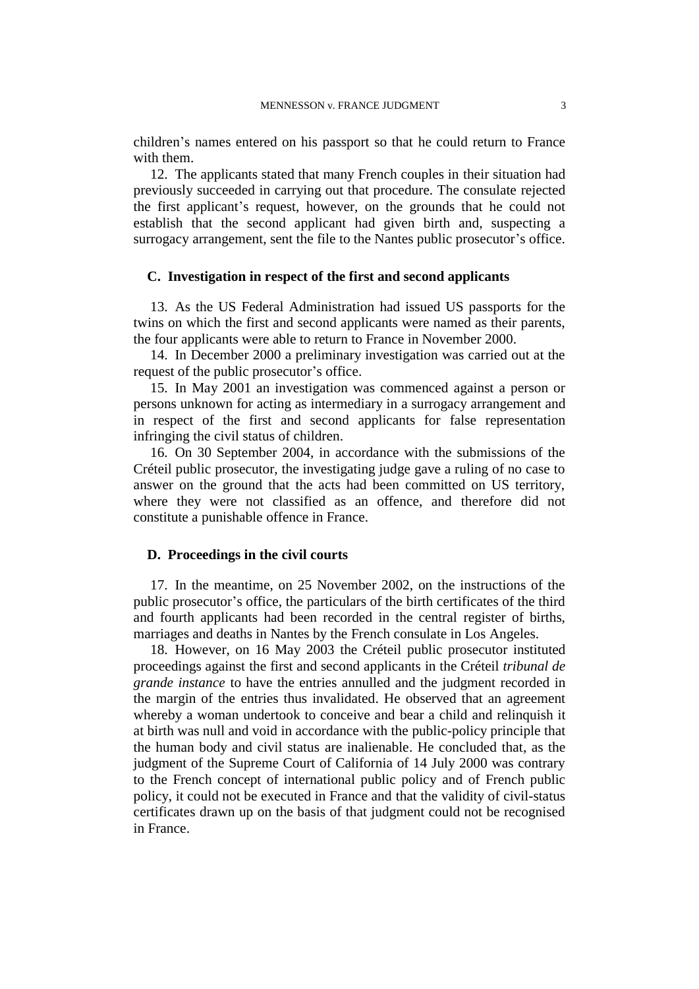children's names entered on his passport so that he could return to France with them.

12. The applicants stated that many French couples in their situation had previously succeeded in carrying out that procedure. The consulate rejected the first applicant's request, however, on the grounds that he could not establish that the second applicant had given birth and, suspecting a surrogacy arrangement, sent the file to the Nantes public prosecutor's office.

### **C. Investigation in respect of the first and second applicants**

13. As the US Federal Administration had issued US passports for the twins on which the first and second applicants were named as their parents, the four applicants were able to return to France in November 2000.

14. In December 2000 a preliminary investigation was carried out at the request of the public prosecutor's office.

15. In May 2001 an investigation was commenced against a person or persons unknown for acting as intermediary in a surrogacy arrangement and in respect of the first and second applicants for false representation infringing the civil status of children.

16. On 30 September 2004, in accordance with the submissions of the Créteil public prosecutor, the investigating judge gave a ruling of no case to answer on the ground that the acts had been committed on US territory, where they were not classified as an offence, and therefore did not constitute a punishable offence in France.

### **D. Proceedings in the civil courts**

17. In the meantime, on 25 November 2002, on the instructions of the public prosecutor's office, the particulars of the birth certificates of the third and fourth applicants had been recorded in the central register of births, marriages and deaths in Nantes by the French consulate in Los Angeles.

18. However, on 16 May 2003 the Créteil public prosecutor instituted proceedings against the first and second applicants in the Créteil *tribunal de grande instance* to have the entries annulled and the judgment recorded in the margin of the entries thus invalidated. He observed that an agreement whereby a woman undertook to conceive and bear a child and relinquish it at birth was null and void in accordance with the public-policy principle that the human body and civil status are inalienable. He concluded that, as the judgment of the Supreme Court of California of 14 July 2000 was contrary to the French concept of international public policy and of French public policy, it could not be executed in France and that the validity of civil-status certificates drawn up on the basis of that judgment could not be recognised in France.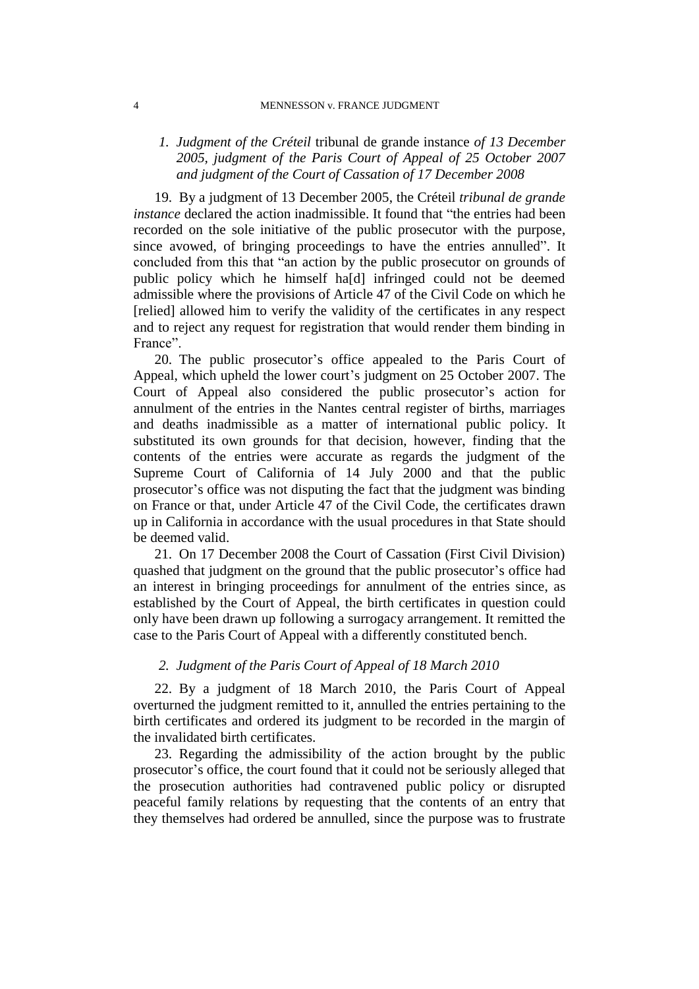#### 4 MENNESSON v. FRANCE JUDGMENT

# *1. Judgment of the Créteil* tribunal de grande instance *of 13 December 2005, judgment of the Paris Court of Appeal of 25 October 2007 and judgment of the Court of Cassation of 17 December 2008*

19. By a judgment of 13 December 2005, the Créteil *tribunal de grande instance* declared the action inadmissible. It found that "the entries had been recorded on the sole initiative of the public prosecutor with the purpose, since avowed, of bringing proceedings to have the entries annulled". It concluded from this that "an action by the public prosecutor on grounds of public policy which he himself ha[d] infringed could not be deemed admissible where the provisions of Article 47 of the Civil Code on which he [relied] allowed him to verify the validity of the certificates in any respect and to reject any request for registration that would render them binding in France".

20. The public prosecutor's office appealed to the Paris Court of Appeal, which upheld the lower court's judgment on 25 October 2007. The Court of Appeal also considered the public prosecutor's action for annulment of the entries in the Nantes central register of births, marriages and deaths inadmissible as a matter of international public policy. It substituted its own grounds for that decision, however, finding that the contents of the entries were accurate as regards the judgment of the Supreme Court of California of 14 July 2000 and that the public prosecutor's office was not disputing the fact that the judgment was binding on France or that, under Article 47 of the Civil Code, the certificates drawn up in California in accordance with the usual procedures in that State should be deemed valid.

21. On 17 December 2008 the Court of Cassation (First Civil Division) quashed that judgment on the ground that the public prosecutor's office had an interest in bringing proceedings for annulment of the entries since, as established by the Court of Appeal, the birth certificates in question could only have been drawn up following a surrogacy arrangement. It remitted the case to the Paris Court of Appeal with a differently constituted bench.

## *2. Judgment of the Paris Court of Appeal of 18 March 2010*

22. By a judgment of 18 March 2010, the Paris Court of Appeal overturned the judgment remitted to it, annulled the entries pertaining to the birth certificates and ordered its judgment to be recorded in the margin of the invalidated birth certificates.

23. Regarding the admissibility of the action brought by the public prosecutor's office, the court found that it could not be seriously alleged that the prosecution authorities had contravened public policy or disrupted peaceful family relations by requesting that the contents of an entry that they themselves had ordered be annulled, since the purpose was to frustrate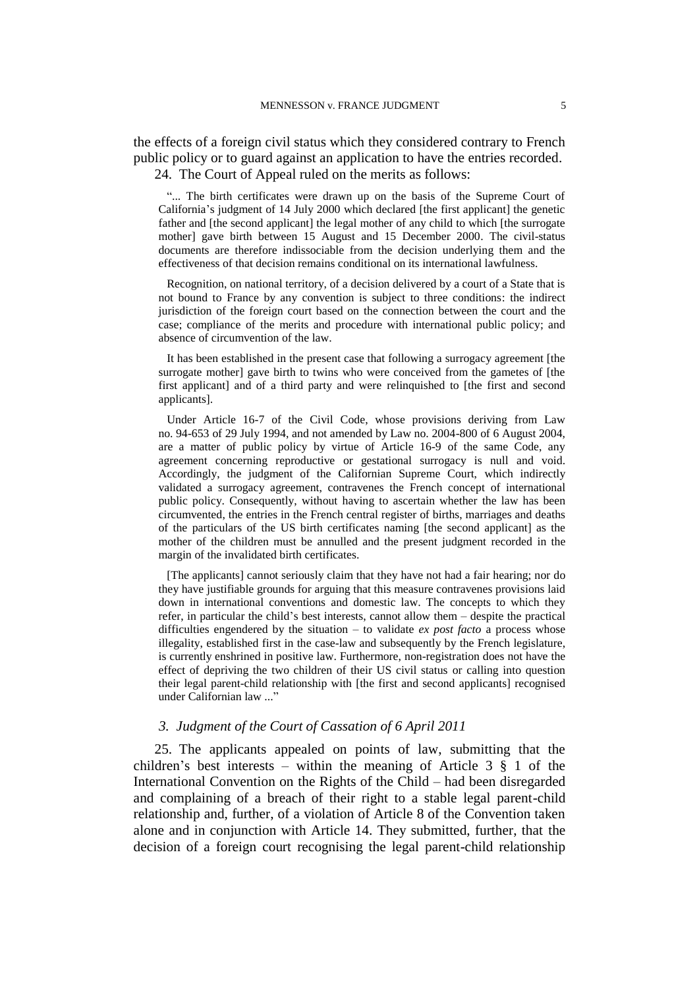the effects of a foreign civil status which they considered contrary to French public policy or to guard against an application to have the entries recorded. 24. The Court of Appeal ruled on the merits as follows:

"... The birth certificates were drawn up on the basis of the Supreme Court of California's judgment of 14 July 2000 which declared [the first applicant] the genetic father and [the second applicant] the legal mother of any child to which [the surrogate mother] gave birth between 15 August and 15 December 2000. The civil-status documents are therefore indissociable from the decision underlying them and the effectiveness of that decision remains conditional on its international lawfulness.

Recognition, on national territory, of a decision delivered by a court of a State that is not bound to France by any convention is subject to three conditions: the indirect jurisdiction of the foreign court based on the connection between the court and the case; compliance of the merits and procedure with international public policy; and absence of circumvention of the law.

It has been established in the present case that following a surrogacy agreement [the surrogate mother] gave birth to twins who were conceived from the gametes of [the first applicant and of a third party and were relinquished to [the first and second applicants].

Under Article 16-7 of the Civil Code, whose provisions deriving from Law no. 94-653 of 29 July 1994, and not amended by Law no. 2004-800 of 6 August 2004, are a matter of public policy by virtue of Article 16-9 of the same Code, any agreement concerning reproductive or gestational surrogacy is null and void. Accordingly, the judgment of the Californian Supreme Court, which indirectly validated a surrogacy agreement, contravenes the French concept of international public policy. Consequently, without having to ascertain whether the law has been circumvented, the entries in the French central register of births, marriages and deaths of the particulars of the US birth certificates naming [the second applicant] as the mother of the children must be annulled and the present judgment recorded in the margin of the invalidated birth certificates.

[The applicants] cannot seriously claim that they have not had a fair hearing; nor do they have justifiable grounds for arguing that this measure contravenes provisions laid down in international conventions and domestic law. The concepts to which they refer, in particular the child's best interests, cannot allow them – despite the practical difficulties engendered by the situation – to validate *ex post facto* a process whose illegality, established first in the case-law and subsequently by the French legislature, is currently enshrined in positive law. Furthermore, non-registration does not have the effect of depriving the two children of their US civil status or calling into question their legal parent-child relationship with [the first and second applicants] recognised under Californian law ..."

## *3. Judgment of the Court of Cassation of 6 April 2011*

25. The applicants appealed on points of law, submitting that the children's best interests – within the meaning of Article  $3 \n\delta 1$  of the International Convention on the Rights of the Child – had been disregarded and complaining of a breach of their right to a stable legal parent-child relationship and, further, of a violation of Article 8 of the Convention taken alone and in conjunction with Article 14. They submitted, further, that the decision of a foreign court recognising the legal parent-child relationship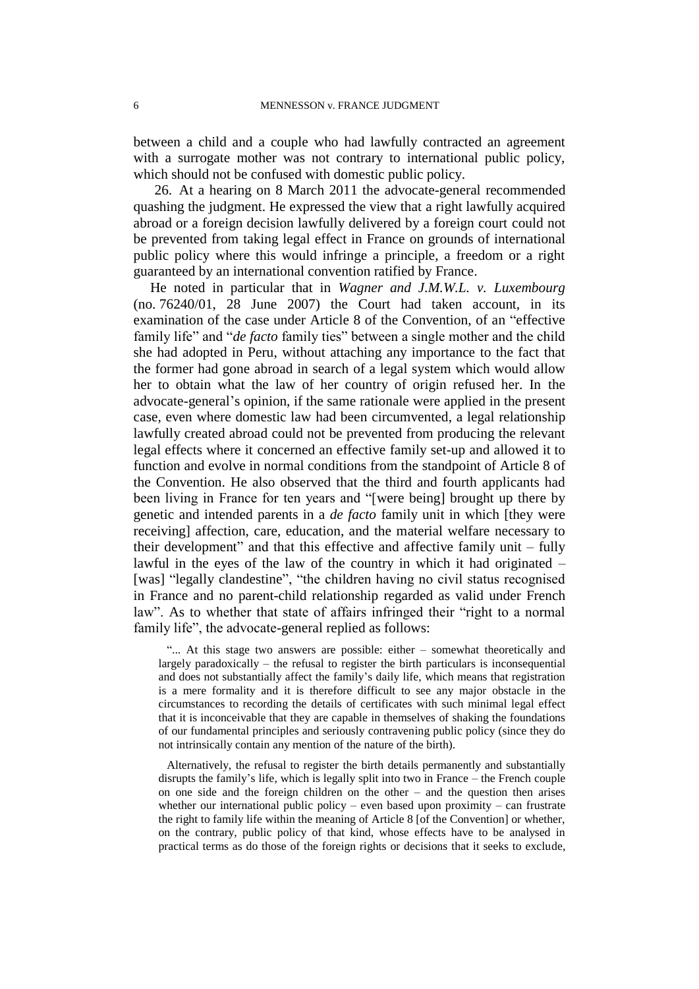between a child and a couple who had lawfully contracted an agreement with a surrogate mother was not contrary to international public policy, which should not be confused with domestic public policy.

26. At a hearing on 8 March 2011 the advocate-general recommended quashing the judgment. He expressed the view that a right lawfully acquired abroad or a foreign decision lawfully delivered by a foreign court could not be prevented from taking legal effect in France on grounds of international public policy where this would infringe a principle, a freedom or a right guaranteed by an international convention ratified by France.

He noted in particular that in *Wagner and J.M.W.L. v. Luxembourg* (no. 76240/01, 28 June 2007) the Court had taken account, in its examination of the case under Article 8 of the Convention, of an "effective family life" and "*de facto* family ties" between a single mother and the child she had adopted in Peru, without attaching any importance to the fact that the former had gone abroad in search of a legal system which would allow her to obtain what the law of her country of origin refused her. In the advocate-general's opinion, if the same rationale were applied in the present case, even where domestic law had been circumvented, a legal relationship lawfully created abroad could not be prevented from producing the relevant legal effects where it concerned an effective family set-up and allowed it to function and evolve in normal conditions from the standpoint of Article 8 of the Convention. He also observed that the third and fourth applicants had been living in France for ten years and "[were being] brought up there by genetic and intended parents in a *de facto* family unit in which [they were receiving] affection, care, education, and the material welfare necessary to their development" and that this effective and affective family unit – fully lawful in the eyes of the law of the country in which it had originated – [was] "legally clandestine", "the children having no civil status recognised in France and no parent-child relationship regarded as valid under French law". As to whether that state of affairs infringed their "right to a normal family life", the advocate-general replied as follows:

"... At this stage two answers are possible: either – somewhat theoretically and largely paradoxically  $-$  the refusal to register the birth particulars is inconsequential and does not substantially affect the family's daily life, which means that registration is a mere formality and it is therefore difficult to see any major obstacle in the circumstances to recording the details of certificates with such minimal legal effect that it is inconceivable that they are capable in themselves of shaking the foundations of our fundamental principles and seriously contravening public policy (since they do not intrinsically contain any mention of the nature of the birth).

Alternatively, the refusal to register the birth details permanently and substantially disrupts the family's life, which is legally split into two in France – the French couple on one side and the foreign children on the other – and the question then arises whether our international public policy – even based upon proximity – can frustrate the right to family life within the meaning of Article 8 [of the Convention] or whether, on the contrary, public policy of that kind, whose effects have to be analysed in practical terms as do those of the foreign rights or decisions that it seeks to exclude,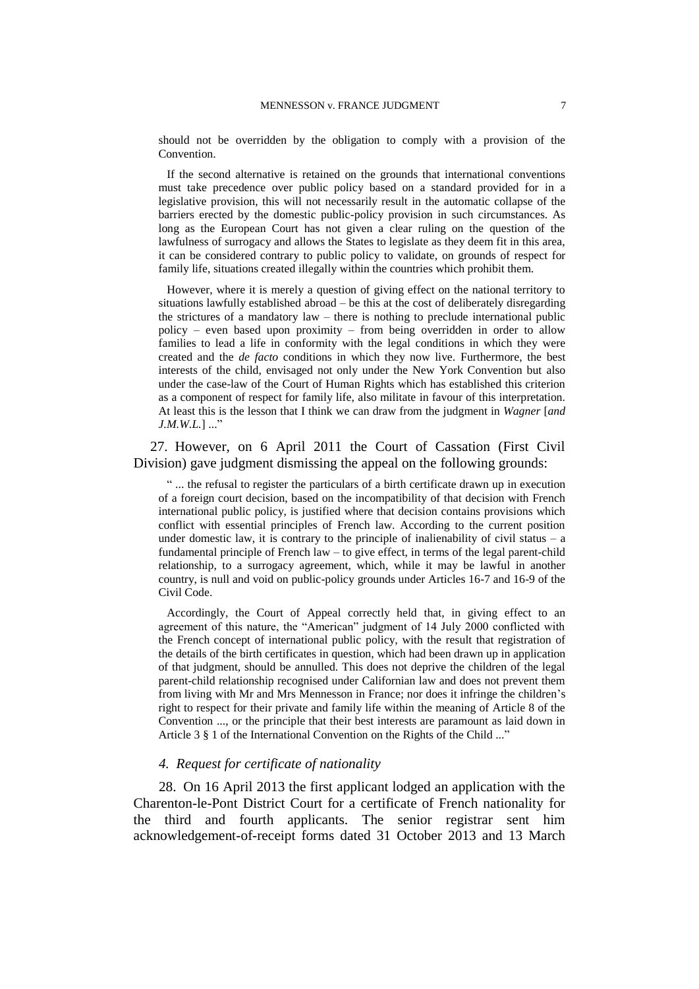should not be overridden by the obligation to comply with a provision of the **Convention** 

If the second alternative is retained on the grounds that international conventions must take precedence over public policy based on a standard provided for in a legislative provision, this will not necessarily result in the automatic collapse of the barriers erected by the domestic public-policy provision in such circumstances. As long as the European Court has not given a clear ruling on the question of the lawfulness of surrogacy and allows the States to legislate as they deem fit in this area, it can be considered contrary to public policy to validate, on grounds of respect for family life, situations created illegally within the countries which prohibit them.

However, where it is merely a question of giving effect on the national territory to situations lawfully established abroad – be this at the cost of deliberately disregarding the strictures of a mandatory law – there is nothing to preclude international public policy – even based upon proximity – from being overridden in order to allow families to lead a life in conformity with the legal conditions in which they were created and the *de facto* conditions in which they now live. Furthermore, the best interests of the child, envisaged not only under the New York Convention but also under the case-law of the Court of Human Rights which has established this criterion as a component of respect for family life, also militate in favour of this interpretation. At least this is the lesson that I think we can draw from the judgment in *Wagner* [*and J.M.W.L.*] ..."

27. However, on 6 April 2011 the Court of Cassation (First Civil Division) gave judgment dismissing the appeal on the following grounds:

" ... the refusal to register the particulars of a birth certificate drawn up in execution of a foreign court decision, based on the incompatibility of that decision with French international public policy, is justified where that decision contains provisions which conflict with essential principles of French law. According to the current position under domestic law, it is contrary to the principle of inalienability of civil status  $-$  a fundamental principle of French law – to give effect, in terms of the legal parent-child relationship, to a surrogacy agreement, which, while it may be lawful in another country, is null and void on public-policy grounds under Articles 16-7 and 16-9 of the Civil Code.

Accordingly, the Court of Appeal correctly held that, in giving effect to an agreement of this nature, the "American" judgment of 14 July 2000 conflicted with the French concept of international public policy, with the result that registration of the details of the birth certificates in question, which had been drawn up in application of that judgment, should be annulled. This does not deprive the children of the legal parent-child relationship recognised under Californian law and does not prevent them from living with Mr and Mrs Mennesson in France; nor does it infringe the children's right to respect for their private and family life within the meaning of Article 8 of the Convention ..., or the principle that their best interests are paramount as laid down in Article 3 § 1 of the International Convention on the Rights of the Child ..."

### *4. Request for certificate of nationality*

28. On 16 April 2013 the first applicant lodged an application with the Charenton-le-Pont District Court for a certificate of French nationality for the third and fourth applicants. The senior registrar sent him acknowledgement-of-receipt forms dated 31 October 2013 and 13 March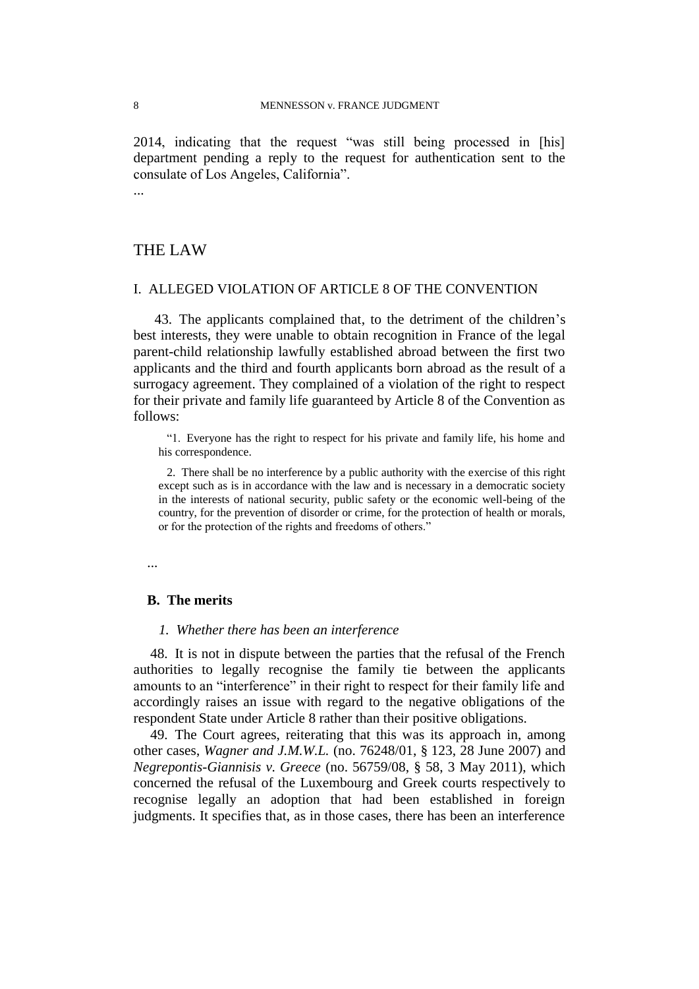2014, indicating that the request "was still being processed in [his] department pending a reply to the request for authentication sent to the consulate of Los Angeles, California". ...

# THE LAW

## I. ALLEGED VIOLATION OF ARTICLE 8 OF THE CONVENTION

43. The applicants complained that, to the detriment of the children's best interests, they were unable to obtain recognition in France of the legal parent-child relationship lawfully established abroad between the first two applicants and the third and fourth applicants born abroad as the result of a surrogacy agreement. They complained of a violation of the right to respect for their private and family life guaranteed by Article 8 of the Convention as follows:

"1. Everyone has the right to respect for his private and family life, his home and his correspondence.

2. There shall be no interference by a public authority with the exercise of this right except such as is in accordance with the law and is necessary in a democratic society in the interests of national security, public safety or the economic well-being of the country, for the prevention of disorder or crime, for the protection of health or morals, or for the protection of the rights and freedoms of others."

...

### **B. The merits**

### *1. Whether there has been an interference*

48. It is not in dispute between the parties that the refusal of the French authorities to legally recognise the family tie between the applicants amounts to an "interference" in their right to respect for their family life and accordingly raises an issue with regard to the negative obligations of the respondent State under Article 8 rather than their positive obligations.

49. The Court agrees, reiterating that this was its approach in, among other cases, *Wagner and J.M.W.L.* (no. 76248/01, § 123, 28 June 2007) and *Negrepontis-Giannisis v. Greece* (no. 56759/08, § 58, 3 May 2011), which concerned the refusal of the Luxembourg and Greek courts respectively to recognise legally an adoption that had been established in foreign judgments. It specifies that, as in those cases, there has been an interference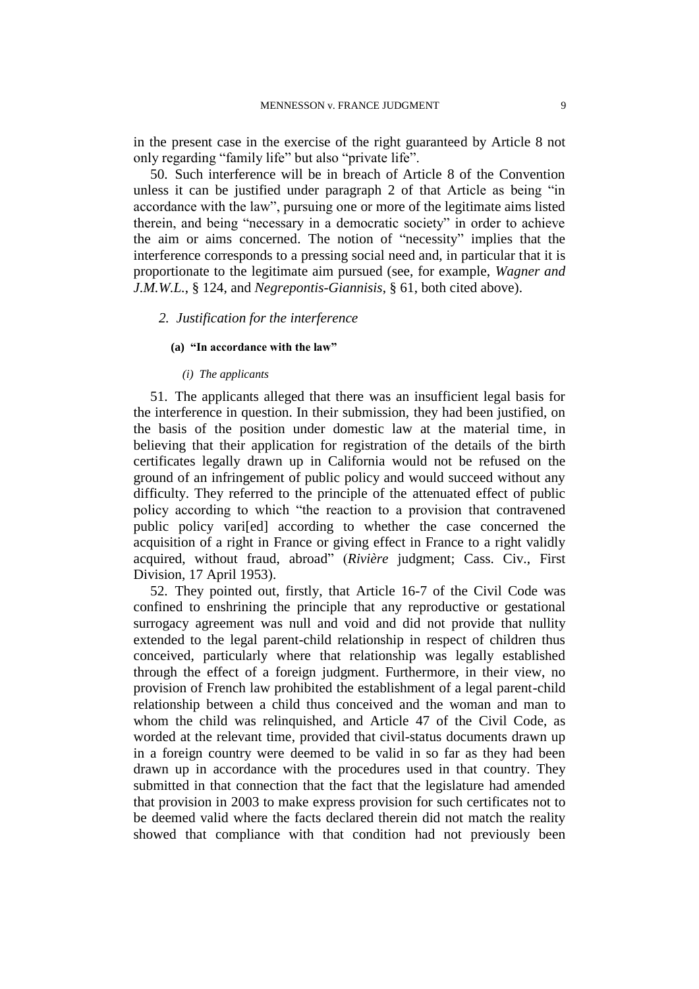in the present case in the exercise of the right guaranteed by Article 8 not only regarding "family life" but also "private life".

50. Such interference will be in breach of Article 8 of the Convention unless it can be justified under paragraph 2 of that Article as being "in accordance with the law", pursuing one or more of the legitimate aims listed therein, and being "necessary in a democratic society" in order to achieve the aim or aims concerned. The notion of "necessity" implies that the interference corresponds to a pressing social need and, in particular that it is proportionate to the legitimate aim pursued (see, for example, *Wagner and J.M.W.L.*, § 124, and *Negrepontis-Giannisis*, § 61, both cited above).

### *2. Justification for the interference*

### **(a) "In accordance with the law"**

#### *(i) The applicants*

51. The applicants alleged that there was an insufficient legal basis for the interference in question. In their submission, they had been justified, on the basis of the position under domestic law at the material time, in believing that their application for registration of the details of the birth certificates legally drawn up in California would not be refused on the ground of an infringement of public policy and would succeed without any difficulty. They referred to the principle of the attenuated effect of public policy according to which "the reaction to a provision that contravened public policy vari[ed] according to whether the case concerned the acquisition of a right in France or giving effect in France to a right validly acquired, without fraud, abroad" (*Rivière* judgment; Cass. Civ., First Division, 17 April 1953).

52. They pointed out, firstly, that Article 16-7 of the Civil Code was confined to enshrining the principle that any reproductive or gestational surrogacy agreement was null and void and did not provide that nullity extended to the legal parent-child relationship in respect of children thus conceived, particularly where that relationship was legally established through the effect of a foreign judgment. Furthermore, in their view, no provision of French law prohibited the establishment of a legal parent-child relationship between a child thus conceived and the woman and man to whom the child was relinquished, and Article 47 of the Civil Code, as worded at the relevant time, provided that civil-status documents drawn up in a foreign country were deemed to be valid in so far as they had been drawn up in accordance with the procedures used in that country. They submitted in that connection that the fact that the legislature had amended that provision in 2003 to make express provision for such certificates not to be deemed valid where the facts declared therein did not match the reality showed that compliance with that condition had not previously been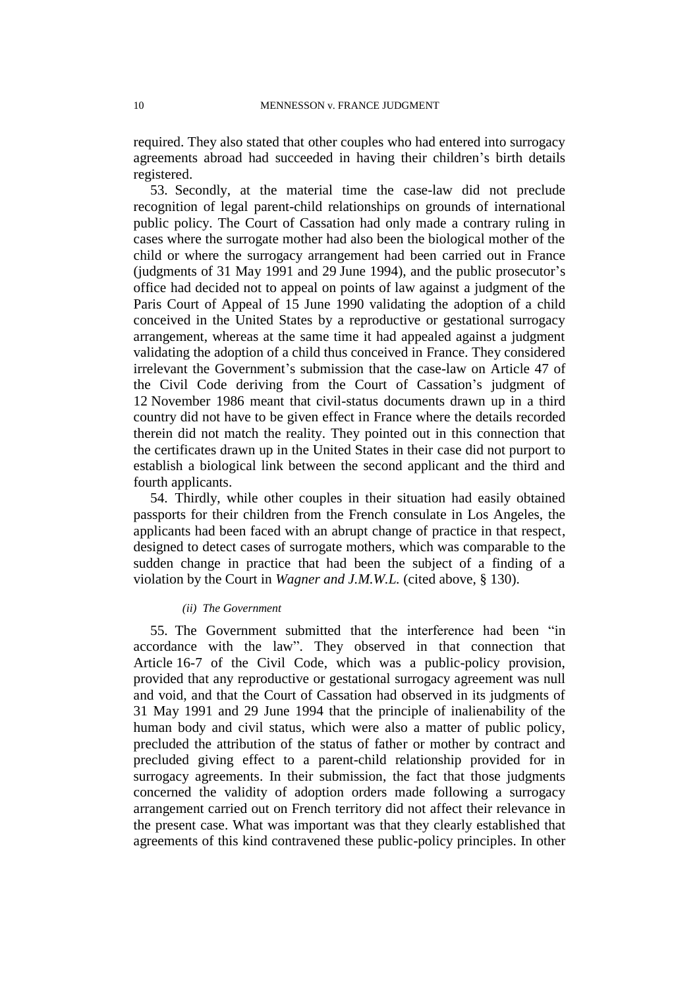required. They also stated that other couples who had entered into surrogacy agreements abroad had succeeded in having their children's birth details registered.

53. Secondly, at the material time the case-law did not preclude recognition of legal parent-child relationships on grounds of international public policy. The Court of Cassation had only made a contrary ruling in cases where the surrogate mother had also been the biological mother of the child or where the surrogacy arrangement had been carried out in France (judgments of 31 May 1991 and 29 June 1994), and the public prosecutor's office had decided not to appeal on points of law against a judgment of the Paris Court of Appeal of 15 June 1990 validating the adoption of a child conceived in the United States by a reproductive or gestational surrogacy arrangement, whereas at the same time it had appealed against a judgment validating the adoption of a child thus conceived in France. They considered irrelevant the Government's submission that the case-law on Article 47 of the Civil Code deriving from the Court of Cassation's judgment of 12 November 1986 meant that civil-status documents drawn up in a third country did not have to be given effect in France where the details recorded therein did not match the reality. They pointed out in this connection that the certificates drawn up in the United States in their case did not purport to establish a biological link between the second applicant and the third and fourth applicants.

54. Thirdly, while other couples in their situation had easily obtained passports for their children from the French consulate in Los Angeles, the applicants had been faced with an abrupt change of practice in that respect, designed to detect cases of surrogate mothers, which was comparable to the sudden change in practice that had been the subject of a finding of a violation by the Court in *Wagner and J.M.W.L.* (cited above, § 130).

#### *(ii) The Government*

55. The Government submitted that the interference had been "in accordance with the law". They observed in that connection that Article 16-7 of the Civil Code, which was a public-policy provision, provided that any reproductive or gestational surrogacy agreement was null and void, and that the Court of Cassation had observed in its judgments of 31 May 1991 and 29 June 1994 that the principle of inalienability of the human body and civil status, which were also a matter of public policy, precluded the attribution of the status of father or mother by contract and precluded giving effect to a parent-child relationship provided for in surrogacy agreements. In their submission, the fact that those judgments concerned the validity of adoption orders made following a surrogacy arrangement carried out on French territory did not affect their relevance in the present case. What was important was that they clearly established that agreements of this kind contravened these public-policy principles. In other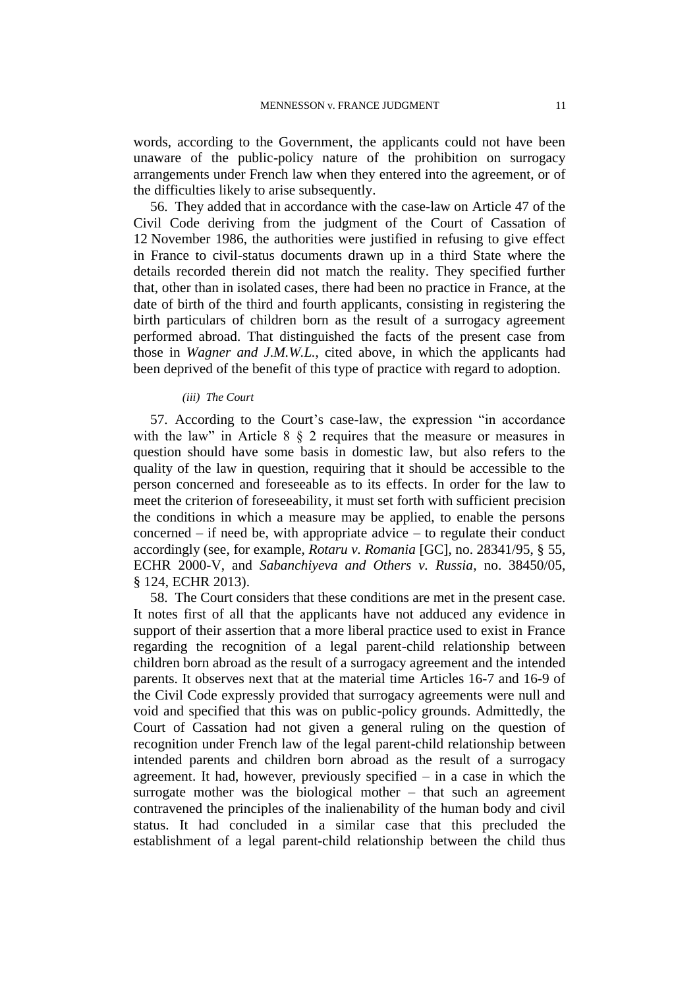words, according to the Government, the applicants could not have been unaware of the public-policy nature of the prohibition on surrogacy arrangements under French law when they entered into the agreement, or of the difficulties likely to arise subsequently.

56. They added that in accordance with the case-law on Article 47 of the Civil Code deriving from the judgment of the Court of Cassation of 12 November 1986, the authorities were justified in refusing to give effect in France to civil-status documents drawn up in a third State where the details recorded therein did not match the reality. They specified further that, other than in isolated cases, there had been no practice in France, at the date of birth of the third and fourth applicants, consisting in registering the birth particulars of children born as the result of a surrogacy agreement performed abroad. That distinguished the facts of the present case from those in *Wagner and J.M.W.L.*, cited above, in which the applicants had been deprived of the benefit of this type of practice with regard to adoption.

#### *(iii) The Court*

57. According to the Court's case-law, the expression "in accordance with the law" in Article 8  $\S$  2 requires that the measure or measures in question should have some basis in domestic law, but also refers to the quality of the law in question, requiring that it should be accessible to the person concerned and foreseeable as to its effects. In order for the law to meet the criterion of foreseeability, it must set forth with sufficient precision the conditions in which a measure may be applied, to enable the persons  $concerned - if need be, with appropriate advice - to regulate their conduct$ accordingly (see, for example, *Rotaru v. Romania* [GC], no. 28341/95, § 55, ECHR 2000-V, and *Sabanchiyeva and Others v. Russia*, no. 38450/05, § 124, ECHR 2013).

58. The Court considers that these conditions are met in the present case. It notes first of all that the applicants have not adduced any evidence in support of their assertion that a more liberal practice used to exist in France regarding the recognition of a legal parent-child relationship between children born abroad as the result of a surrogacy agreement and the intended parents. It observes next that at the material time Articles 16-7 and 16-9 of the Civil Code expressly provided that surrogacy agreements were null and void and specified that this was on public-policy grounds. Admittedly, the Court of Cassation had not given a general ruling on the question of recognition under French law of the legal parent-child relationship between intended parents and children born abroad as the result of a surrogacy agreement. It had, however, previously specified – in a case in which the surrogate mother was the biological mother – that such an agreement contravened the principles of the inalienability of the human body and civil status. It had concluded in a similar case that this precluded the establishment of a legal parent-child relationship between the child thus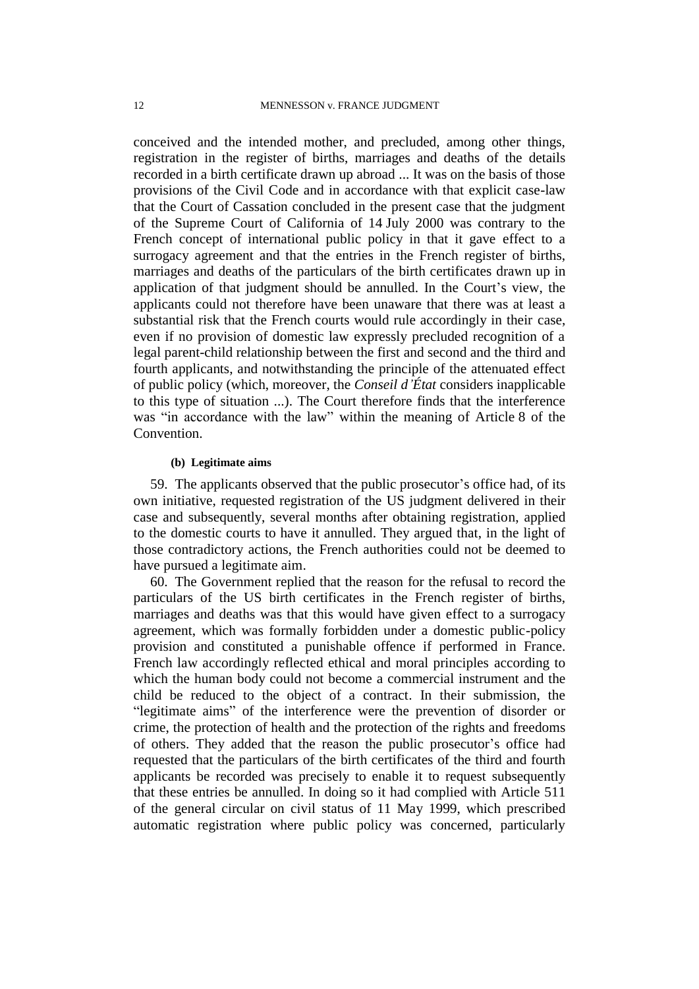conceived and the intended mother, and precluded, among other things, registration in the register of births, marriages and deaths of the details recorded in a birth certificate drawn up abroad ... It was on the basis of those provisions of the Civil Code and in accordance with that explicit case-law that the Court of Cassation concluded in the present case that the judgment of the Supreme Court of California of 14 July 2000 was contrary to the French concept of international public policy in that it gave effect to a surrogacy agreement and that the entries in the French register of births, marriages and deaths of the particulars of the birth certificates drawn up in application of that judgment should be annulled. In the Court's view, the applicants could not therefore have been unaware that there was at least a substantial risk that the French courts would rule accordingly in their case, even if no provision of domestic law expressly precluded recognition of a legal parent-child relationship between the first and second and the third and fourth applicants, and notwithstanding the principle of the attenuated effect of public policy (which, moreover, the *Conseil d'État* considers inapplicable to this type of situation ...). The Court therefore finds that the interference was "in accordance with the law" within the meaning of Article 8 of the Convention.

#### **(b) Legitimate aims**

59. The applicants observed that the public prosecutor's office had, of its own initiative, requested registration of the US judgment delivered in their case and subsequently, several months after obtaining registration, applied to the domestic courts to have it annulled. They argued that, in the light of those contradictory actions, the French authorities could not be deemed to have pursued a legitimate aim.

60. The Government replied that the reason for the refusal to record the particulars of the US birth certificates in the French register of births, marriages and deaths was that this would have given effect to a surrogacy agreement, which was formally forbidden under a domestic public-policy provision and constituted a punishable offence if performed in France. French law accordingly reflected ethical and moral principles according to which the human body could not become a commercial instrument and the child be reduced to the object of a contract. In their submission, the "legitimate aims" of the interference were the prevention of disorder or crime, the protection of health and the protection of the rights and freedoms of others. They added that the reason the public prosecutor's office had requested that the particulars of the birth certificates of the third and fourth applicants be recorded was precisely to enable it to request subsequently that these entries be annulled. In doing so it had complied with Article 511 of the general circular on civil status of 11 May 1999, which prescribed automatic registration where public policy was concerned, particularly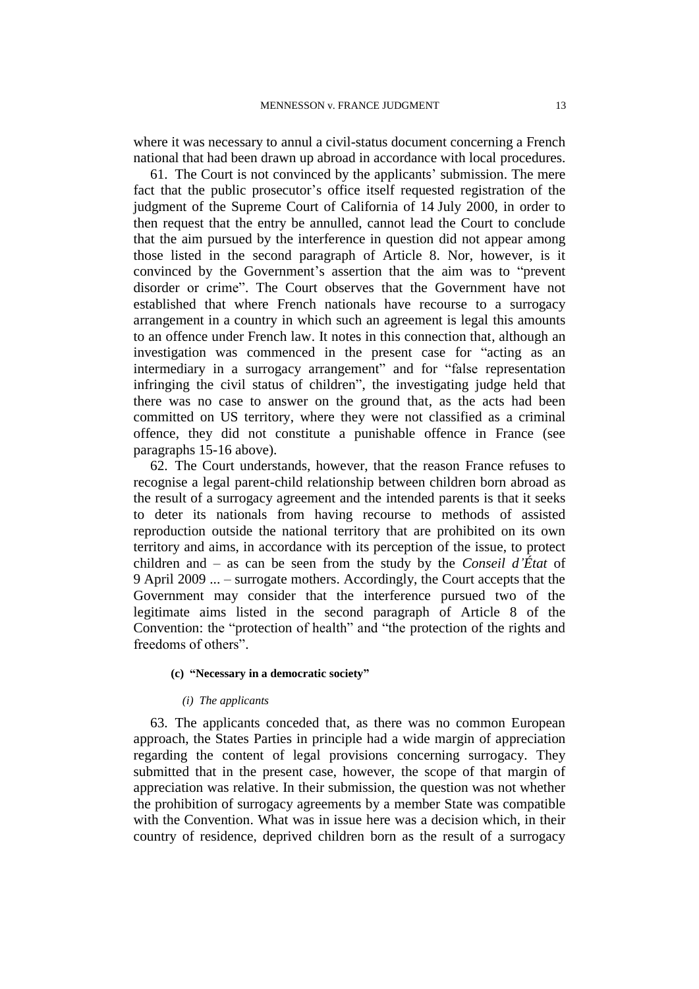where it was necessary to annul a civil-status document concerning a French national that had been drawn up abroad in accordance with local procedures.

61. The Court is not convinced by the applicants' submission. The mere fact that the public prosecutor's office itself requested registration of the judgment of the Supreme Court of California of 14 July 2000, in order to then request that the entry be annulled, cannot lead the Court to conclude that the aim pursued by the interference in question did not appear among those listed in the second paragraph of Article 8. Nor, however, is it convinced by the Government's assertion that the aim was to "prevent disorder or crime". The Court observes that the Government have not established that where French nationals have recourse to a surrogacy arrangement in a country in which such an agreement is legal this amounts to an offence under French law. It notes in this connection that, although an investigation was commenced in the present case for "acting as an intermediary in a surrogacy arrangement" and for "false representation infringing the civil status of children", the investigating judge held that there was no case to answer on the ground that, as the acts had been committed on US territory, where they were not classified as a criminal offence, they did not constitute a punishable offence in France (see paragraphs 15-16 above).

62. The Court understands, however, that the reason France refuses to recognise a legal parent-child relationship between children born abroad as the result of a surrogacy agreement and the intended parents is that it seeks to deter its nationals from having recourse to methods of assisted reproduction outside the national territory that are prohibited on its own territory and aims, in accordance with its perception of the issue, to protect children and – as can be seen from the study by the *Conseil d'État* of 9 April 2009 ... – surrogate mothers. Accordingly, the Court accepts that the Government may consider that the interference pursued two of the legitimate aims listed in the second paragraph of Article 8 of the Convention: the "protection of health" and "the protection of the rights and freedoms of others".

#### **(c) "Necessary in a democratic society"**

#### *(i) The applicants*

63. The applicants conceded that, as there was no common European approach, the States Parties in principle had a wide margin of appreciation regarding the content of legal provisions concerning surrogacy. They submitted that in the present case, however, the scope of that margin of appreciation was relative. In their submission, the question was not whether the prohibition of surrogacy agreements by a member State was compatible with the Convention. What was in issue here was a decision which, in their country of residence, deprived children born as the result of a surrogacy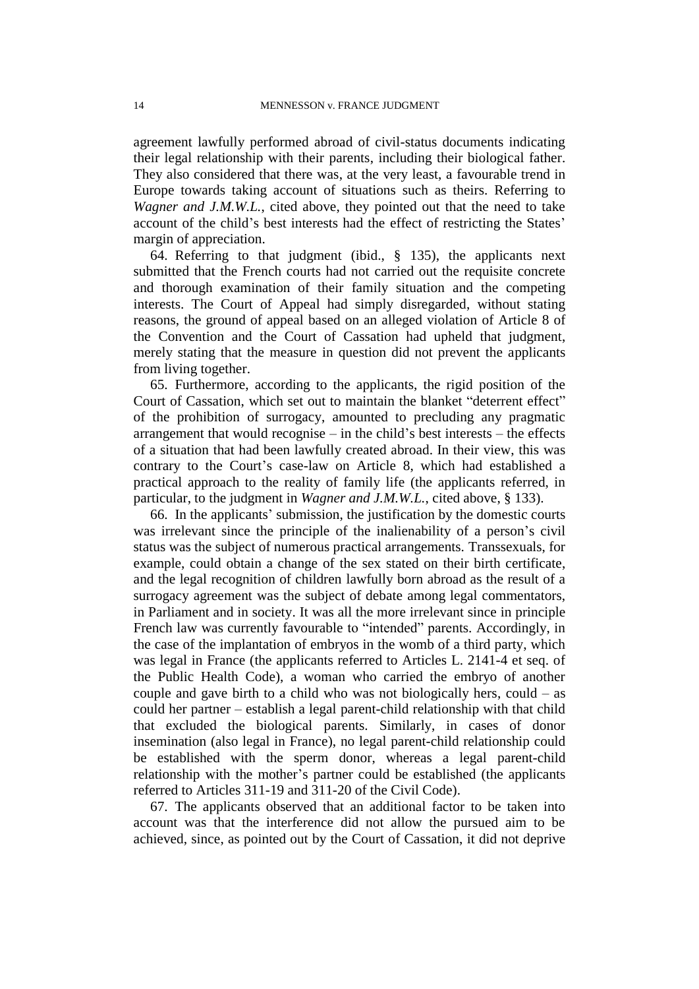agreement lawfully performed abroad of civil-status documents indicating their legal relationship with their parents, including their biological father. They also considered that there was, at the very least, a favourable trend in Europe towards taking account of situations such as theirs. Referring to *Wagner and J.M.W.L.*, cited above, they pointed out that the need to take account of the child's best interests had the effect of restricting the States' margin of appreciation.

64. Referring to that judgment (ibid., § 135), the applicants next submitted that the French courts had not carried out the requisite concrete and thorough examination of their family situation and the competing interests. The Court of Appeal had simply disregarded, without stating reasons, the ground of appeal based on an alleged violation of Article 8 of the Convention and the Court of Cassation had upheld that judgment, merely stating that the measure in question did not prevent the applicants from living together.

65. Furthermore, according to the applicants, the rigid position of the Court of Cassation, which set out to maintain the blanket "deterrent effect" of the prohibition of surrogacy, amounted to precluding any pragmatic arrangement that would recognise – in the child's best interests – the effects of a situation that had been lawfully created abroad. In their view, this was contrary to the Court's case-law on Article 8, which had established a practical approach to the reality of family life (the applicants referred, in particular, to the judgment in *Wagner and J.M.W.L.*, cited above, § 133).

66. In the applicants' submission, the justification by the domestic courts was irrelevant since the principle of the inalienability of a person's civil status was the subject of numerous practical arrangements. Transsexuals, for example, could obtain a change of the sex stated on their birth certificate, and the legal recognition of children lawfully born abroad as the result of a surrogacy agreement was the subject of debate among legal commentators, in Parliament and in society. It was all the more irrelevant since in principle French law was currently favourable to "intended" parents. Accordingly, in the case of the implantation of embryos in the womb of a third party, which was legal in France (the applicants referred to Articles L. 2141-4 et seq. of the Public Health Code), a woman who carried the embryo of another couple and gave birth to a child who was not biologically hers, could – as could her partner – establish a legal parent-child relationship with that child that excluded the biological parents. Similarly, in cases of donor insemination (also legal in France), no legal parent-child relationship could be established with the sperm donor, whereas a legal parent-child relationship with the mother's partner could be established (the applicants referred to Articles 311-19 and 311-20 of the Civil Code).

67. The applicants observed that an additional factor to be taken into account was that the interference did not allow the pursued aim to be achieved, since, as pointed out by the Court of Cassation, it did not deprive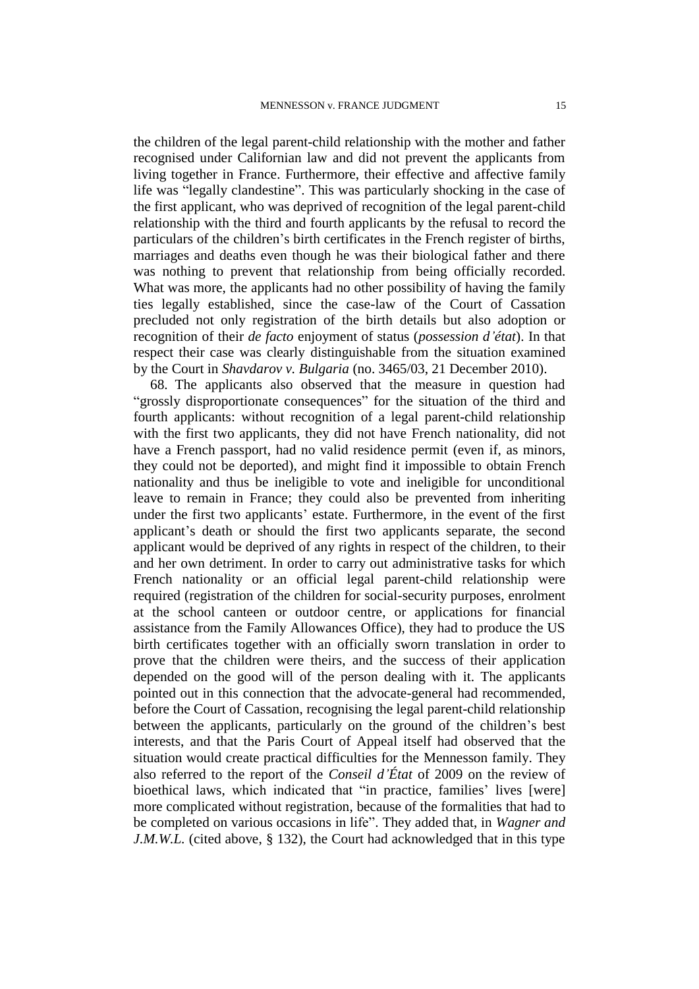the children of the legal parent-child relationship with the mother and father recognised under Californian law and did not prevent the applicants from living together in France. Furthermore, their effective and affective family life was "legally clandestine". This was particularly shocking in the case of the first applicant, who was deprived of recognition of the legal parent-child relationship with the third and fourth applicants by the refusal to record the particulars of the children's birth certificates in the French register of births, marriages and deaths even though he was their biological father and there was nothing to prevent that relationship from being officially recorded. What was more, the applicants had no other possibility of having the family ties legally established, since the case-law of the Court of Cassation precluded not only registration of the birth details but also adoption or recognition of their *de facto* enjoyment of status (*possession d'état*). In that respect their case was clearly distinguishable from the situation examined by the Court in *Shavdarov v. Bulgaria* (no. 3465/03, 21 December 2010).

68. The applicants also observed that the measure in question had "grossly disproportionate consequences" for the situation of the third and fourth applicants: without recognition of a legal parent-child relationship with the first two applicants, they did not have French nationality, did not have a French passport, had no valid residence permit (even if, as minors, they could not be deported), and might find it impossible to obtain French nationality and thus be ineligible to vote and ineligible for unconditional leave to remain in France; they could also be prevented from inheriting under the first two applicants' estate. Furthermore, in the event of the first applicant's death or should the first two applicants separate, the second applicant would be deprived of any rights in respect of the children, to their and her own detriment. In order to carry out administrative tasks for which French nationality or an official legal parent-child relationship were required (registration of the children for social-security purposes, enrolment at the school canteen or outdoor centre, or applications for financial assistance from the Family Allowances Office), they had to produce the US birth certificates together with an officially sworn translation in order to prove that the children were theirs, and the success of their application depended on the good will of the person dealing with it. The applicants pointed out in this connection that the advocate-general had recommended, before the Court of Cassation, recognising the legal parent-child relationship between the applicants, particularly on the ground of the children's best interests, and that the Paris Court of Appeal itself had observed that the situation would create practical difficulties for the Mennesson family. They also referred to the report of the *Conseil d'État* of 2009 on the review of bioethical laws, which indicated that "in practice, families' lives [were] more complicated without registration, because of the formalities that had to be completed on various occasions in life". They added that, in *Wagner and J.M.W.L.* (cited above, § 132), the Court had acknowledged that in this type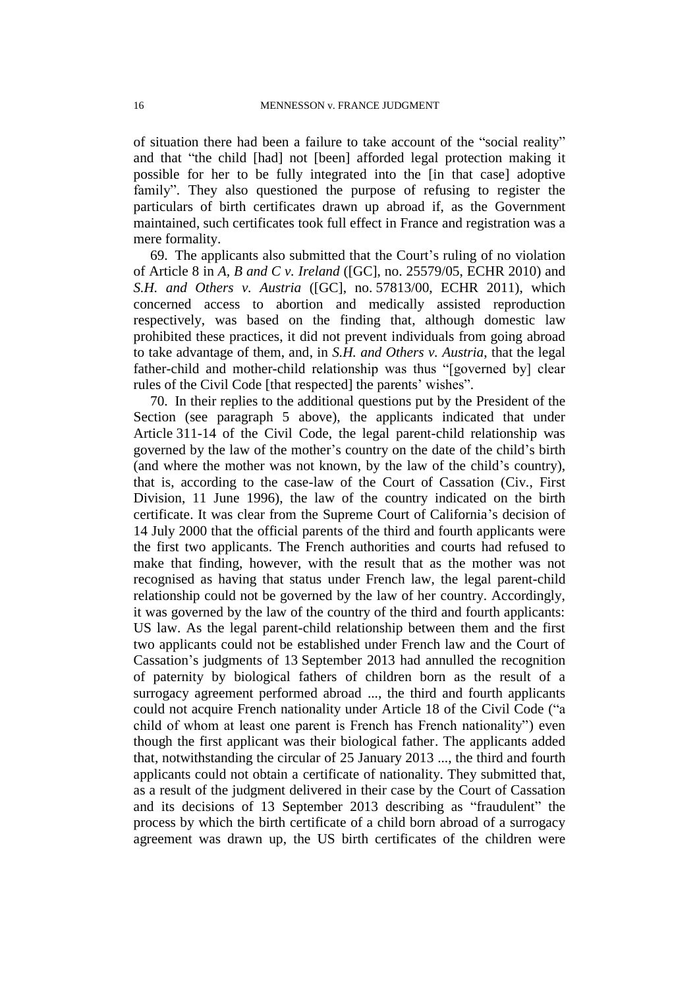of situation there had been a failure to take account of the "social reality" and that "the child [had] not [been] afforded legal protection making it possible for her to be fully integrated into the [in that case] adoptive family". They also questioned the purpose of refusing to register the particulars of birth certificates drawn up abroad if, as the Government maintained, such certificates took full effect in France and registration was a mere formality.

69. The applicants also submitted that the Court's ruling of no violation of Article 8 in *A, B and C v. Ireland* ([GC], no. 25579/05, ECHR 2010) and *S.H. and Others v. Austria* ([GC], no. 57813/00, ECHR 2011), which concerned access to abortion and medically assisted reproduction respectively, was based on the finding that, although domestic law prohibited these practices, it did not prevent individuals from going abroad to take advantage of them, and, in *S.H. and Others v. Austria*, that the legal father-child and mother-child relationship was thus "[governed by] clear rules of the Civil Code [that respected] the parents' wishes".

70. In their replies to the additional questions put by the President of the Section (see paragraph 5 above), the applicants indicated that under Article 311-14 of the Civil Code, the legal parent-child relationship was governed by the law of the mother's country on the date of the child's birth (and where the mother was not known, by the law of the child's country), that is, according to the case-law of the Court of Cassation (Civ., First Division, 11 June 1996), the law of the country indicated on the birth certificate. It was clear from the Supreme Court of California's decision of 14 July 2000 that the official parents of the third and fourth applicants were the first two applicants. The French authorities and courts had refused to make that finding, however, with the result that as the mother was not recognised as having that status under French law, the legal parent-child relationship could not be governed by the law of her country. Accordingly, it was governed by the law of the country of the third and fourth applicants: US law. As the legal parent-child relationship between them and the first two applicants could not be established under French law and the Court of Cassation's judgments of 13 September 2013 had annulled the recognition of paternity by biological fathers of children born as the result of a surrogacy agreement performed abroad ..., the third and fourth applicants could not acquire French nationality under Article 18 of the Civil Code ("a child of whom at least one parent is French has French nationality") even though the first applicant was their biological father. The applicants added that, notwithstanding the circular of 25 January 2013 ..., the third and fourth applicants could not obtain a certificate of nationality. They submitted that, as a result of the judgment delivered in their case by the Court of Cassation and its decisions of 13 September 2013 describing as "fraudulent" the process by which the birth certificate of a child born abroad of a surrogacy agreement was drawn up, the US birth certificates of the children were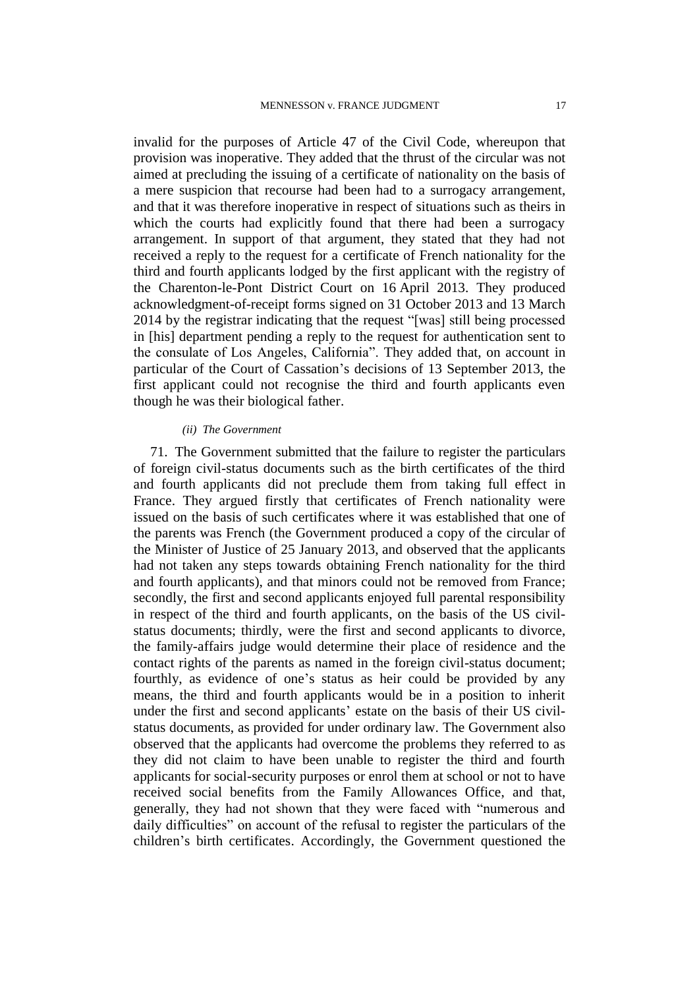invalid for the purposes of Article 47 of the Civil Code, whereupon that provision was inoperative. They added that the thrust of the circular was not aimed at precluding the issuing of a certificate of nationality on the basis of a mere suspicion that recourse had been had to a surrogacy arrangement, and that it was therefore inoperative in respect of situations such as theirs in which the courts had explicitly found that there had been a surrogacy arrangement. In support of that argument, they stated that they had not received a reply to the request for a certificate of French nationality for the third and fourth applicants lodged by the first applicant with the registry of the Charenton-le-Pont District Court on 16 April 2013. They produced acknowledgment-of-receipt forms signed on 31 October 2013 and 13 March 2014 by the registrar indicating that the request "[was] still being processed in [his] department pending a reply to the request for authentication sent to the consulate of Los Angeles, California". They added that, on account in particular of the Court of Cassation's decisions of 13 September 2013, the first applicant could not recognise the third and fourth applicants even though he was their biological father.

#### *(ii) The Government*

71. The Government submitted that the failure to register the particulars of foreign civil-status documents such as the birth certificates of the third and fourth applicants did not preclude them from taking full effect in France. They argued firstly that certificates of French nationality were issued on the basis of such certificates where it was established that one of the parents was French (the Government produced a copy of the circular of the Minister of Justice of 25 January 2013, and observed that the applicants had not taken any steps towards obtaining French nationality for the third and fourth applicants), and that minors could not be removed from France; secondly, the first and second applicants enjoyed full parental responsibility in respect of the third and fourth applicants, on the basis of the US civilstatus documents; thirdly, were the first and second applicants to divorce, the family-affairs judge would determine their place of residence and the contact rights of the parents as named in the foreign civil-status document; fourthly, as evidence of one's status as heir could be provided by any means, the third and fourth applicants would be in a position to inherit under the first and second applicants' estate on the basis of their US civilstatus documents, as provided for under ordinary law. The Government also observed that the applicants had overcome the problems they referred to as they did not claim to have been unable to register the third and fourth applicants for social-security purposes or enrol them at school or not to have received social benefits from the Family Allowances Office, and that, generally, they had not shown that they were faced with "numerous and daily difficulties" on account of the refusal to register the particulars of the children's birth certificates. Accordingly, the Government questioned the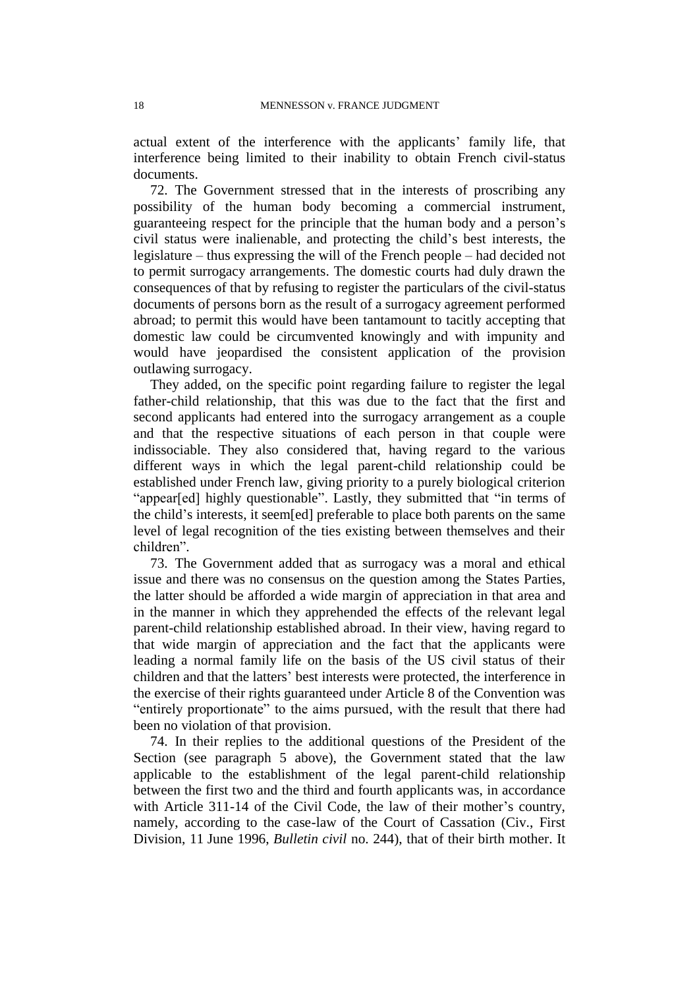actual extent of the interference with the applicants' family life, that interference being limited to their inability to obtain French civil-status documents.

72. The Government stressed that in the interests of proscribing any possibility of the human body becoming a commercial instrument, guaranteeing respect for the principle that the human body and a person's civil status were inalienable, and protecting the child's best interests, the legislature – thus expressing the will of the French people – had decided not to permit surrogacy arrangements. The domestic courts had duly drawn the consequences of that by refusing to register the particulars of the civil-status documents of persons born as the result of a surrogacy agreement performed abroad; to permit this would have been tantamount to tacitly accepting that domestic law could be circumvented knowingly and with impunity and would have jeopardised the consistent application of the provision outlawing surrogacy.

They added, on the specific point regarding failure to register the legal father-child relationship, that this was due to the fact that the first and second applicants had entered into the surrogacy arrangement as a couple and that the respective situations of each person in that couple were indissociable. They also considered that, having regard to the various different ways in which the legal parent-child relationship could be established under French law, giving priority to a purely biological criterion "appear[ed] highly questionable". Lastly, they submitted that "in terms of the child's interests, it seem[ed] preferable to place both parents on the same level of legal recognition of the ties existing between themselves and their children".

73. The Government added that as surrogacy was a moral and ethical issue and there was no consensus on the question among the States Parties, the latter should be afforded a wide margin of appreciation in that area and in the manner in which they apprehended the effects of the relevant legal parent-child relationship established abroad. In their view, having regard to that wide margin of appreciation and the fact that the applicants were leading a normal family life on the basis of the US civil status of their children and that the latters' best interests were protected, the interference in the exercise of their rights guaranteed under Article 8 of the Convention was "entirely proportionate" to the aims pursued, with the result that there had been no violation of that provision.

74. In their replies to the additional questions of the President of the Section (see paragraph 5 above), the Government stated that the law applicable to the establishment of the legal parent-child relationship between the first two and the third and fourth applicants was, in accordance with Article 311-14 of the Civil Code, the law of their mother's country, namely, according to the case-law of the Court of Cassation (Civ., First Division, 11 June 1996, *Bulletin civil* no. 244), that of their birth mother. It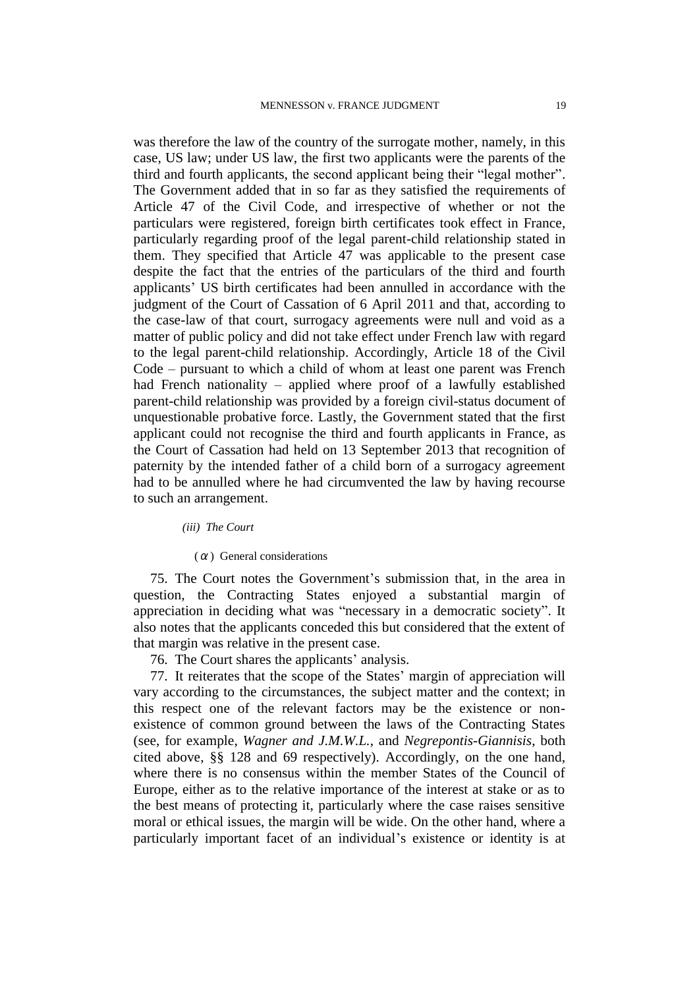was therefore the law of the country of the surrogate mother, namely, in this case, US law; under US law, the first two applicants were the parents of the third and fourth applicants, the second applicant being their "legal mother". The Government added that in so far as they satisfied the requirements of Article 47 of the Civil Code, and irrespective of whether or not the particulars were registered, foreign birth certificates took effect in France, particularly regarding proof of the legal parent-child relationship stated in them. They specified that Article 47 was applicable to the present case despite the fact that the entries of the particulars of the third and fourth applicants' US birth certificates had been annulled in accordance with the judgment of the Court of Cassation of 6 April 2011 and that, according to the case-law of that court, surrogacy agreements were null and void as a matter of public policy and did not take effect under French law with regard to the legal parent-child relationship. Accordingly, Article 18 of the Civil Code – pursuant to which a child of whom at least one parent was French had French nationality – applied where proof of a lawfully established parent-child relationship was provided by a foreign civil-status document of unquestionable probative force. Lastly, the Government stated that the first applicant could not recognise the third and fourth applicants in France, as the Court of Cassation had held on 13 September 2013 that recognition of paternity by the intended father of a child born of a surrogacy agreement had to be annulled where he had circumvented the law by having recourse to such an arrangement.

#### *(iii) The Court*

#### $(\alpha)$  General considerations

75. The Court notes the Government's submission that, in the area in question, the Contracting States enjoyed a substantial margin of appreciation in deciding what was "necessary in a democratic society". It also notes that the applicants conceded this but considered that the extent of that margin was relative in the present case.

76. The Court shares the applicants' analysis.

77. It reiterates that the scope of the States' margin of appreciation will vary according to the circumstances, the subject matter and the context; in this respect one of the relevant factors may be the existence or nonexistence of common ground between the laws of the Contracting States (see, for example, *Wagner and J.M.W.L.*, and *Negrepontis-Giannisis*, both cited above, §§ 128 and 69 respectively). Accordingly, on the one hand, where there is no consensus within the member States of the Council of Europe, either as to the relative importance of the interest at stake or as to the best means of protecting it, particularly where the case raises sensitive moral or ethical issues, the margin will be wide. On the other hand, where a particularly important facet of an individual's existence or identity is at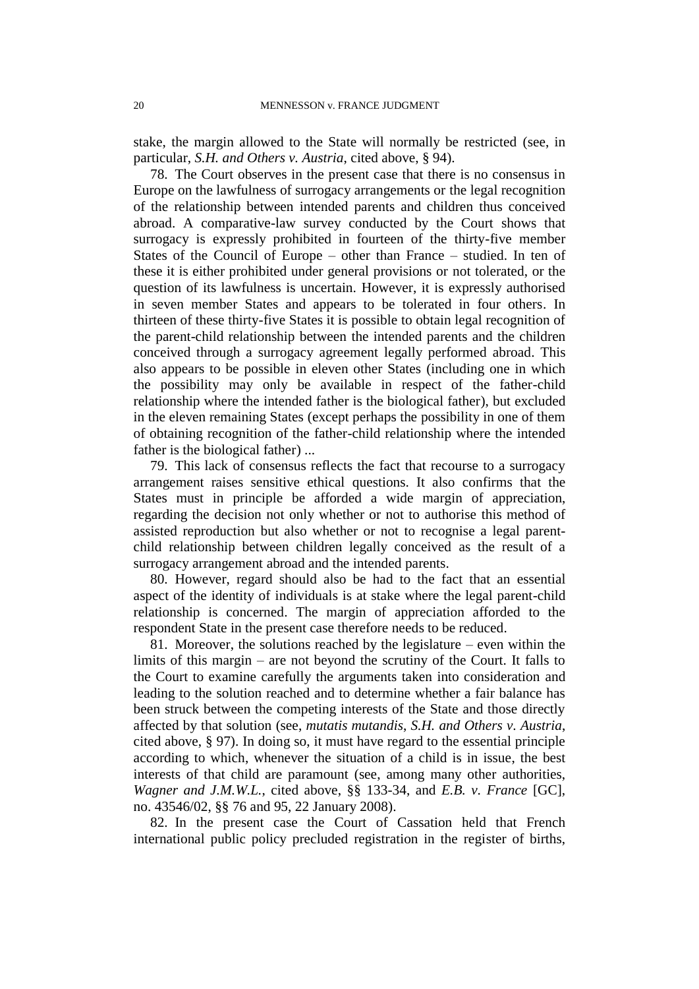stake, the margin allowed to the State will normally be restricted (see, in particular, *S.H. and Others v. Austria*, cited above, § 94).

78. The Court observes in the present case that there is no consensus in Europe on the lawfulness of surrogacy arrangements or the legal recognition of the relationship between intended parents and children thus conceived abroad. A comparative-law survey conducted by the Court shows that surrogacy is expressly prohibited in fourteen of the thirty-five member States of the Council of Europe – other than France – studied. In ten of these it is either prohibited under general provisions or not tolerated, or the question of its lawfulness is uncertain. However, it is expressly authorised in seven member States and appears to be tolerated in four others. In thirteen of these thirty-five States it is possible to obtain legal recognition of the parent-child relationship between the intended parents and the children conceived through a surrogacy agreement legally performed abroad. This also appears to be possible in eleven other States (including one in which the possibility may only be available in respect of the father-child relationship where the intended father is the biological father), but excluded in the eleven remaining States (except perhaps the possibility in one of them of obtaining recognition of the father-child relationship where the intended father is the biological father) ...

79. This lack of consensus reflects the fact that recourse to a surrogacy arrangement raises sensitive ethical questions. It also confirms that the States must in principle be afforded a wide margin of appreciation, regarding the decision not only whether or not to authorise this method of assisted reproduction but also whether or not to recognise a legal parentchild relationship between children legally conceived as the result of a surrogacy arrangement abroad and the intended parents.

80. However, regard should also be had to the fact that an essential aspect of the identity of individuals is at stake where the legal parent-child relationship is concerned. The margin of appreciation afforded to the respondent State in the present case therefore needs to be reduced.

81. Moreover, the solutions reached by the legislature – even within the limits of this margin – are not beyond the scrutiny of the Court. It falls to the Court to examine carefully the arguments taken into consideration and leading to the solution reached and to determine whether a fair balance has been struck between the competing interests of the State and those directly affected by that solution (see, *mutatis mutandis*, *S.H. and Others v. Austria*, cited above, § 97). In doing so, it must have regard to the essential principle according to which, whenever the situation of a child is in issue, the best interests of that child are paramount (see, among many other authorities, *Wagner and J.M.W.L.*, cited above, §§ 133-34, and *E.B. v. France* [GC], no. 43546/02, §§ 76 and 95, 22 January 2008).

82. In the present case the Court of Cassation held that French international public policy precluded registration in the register of births,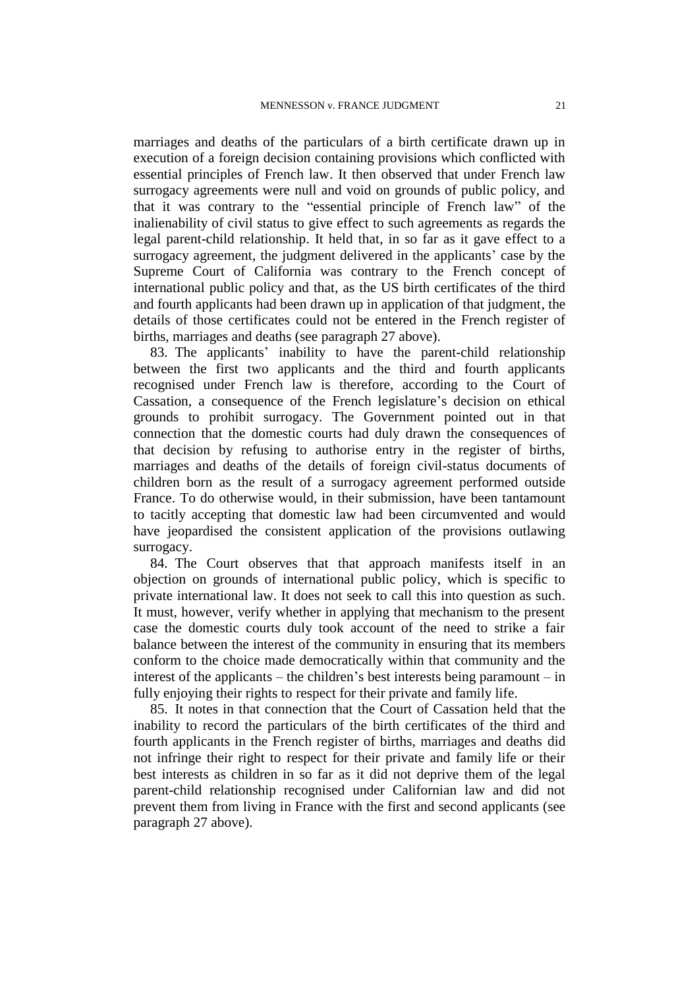marriages and deaths of the particulars of a birth certificate drawn up in execution of a foreign decision containing provisions which conflicted with essential principles of French law. It then observed that under French law surrogacy agreements were null and void on grounds of public policy, and that it was contrary to the "essential principle of French law" of the inalienability of civil status to give effect to such agreements as regards the legal parent-child relationship. It held that, in so far as it gave effect to a surrogacy agreement, the judgment delivered in the applicants' case by the Supreme Court of California was contrary to the French concept of international public policy and that, as the US birth certificates of the third and fourth applicants had been drawn up in application of that judgment, the details of those certificates could not be entered in the French register of births, marriages and deaths (see paragraph 27 above).

83. The applicants' inability to have the parent-child relationship between the first two applicants and the third and fourth applicants recognised under French law is therefore, according to the Court of Cassation, a consequence of the French legislature's decision on ethical grounds to prohibit surrogacy. The Government pointed out in that connection that the domestic courts had duly drawn the consequences of that decision by refusing to authorise entry in the register of births, marriages and deaths of the details of foreign civil-status documents of children born as the result of a surrogacy agreement performed outside France. To do otherwise would, in their submission, have been tantamount to tacitly accepting that domestic law had been circumvented and would have jeopardised the consistent application of the provisions outlawing surrogacy.

84. The Court observes that that approach manifests itself in an objection on grounds of international public policy, which is specific to private international law. It does not seek to call this into question as such. It must, however, verify whether in applying that mechanism to the present case the domestic courts duly took account of the need to strike a fair balance between the interest of the community in ensuring that its members conform to the choice made democratically within that community and the interest of the applicants – the children's best interests being paramount – in fully enjoying their rights to respect for their private and family life.

85. It notes in that connection that the Court of Cassation held that the inability to record the particulars of the birth certificates of the third and fourth applicants in the French register of births, marriages and deaths did not infringe their right to respect for their private and family life or their best interests as children in so far as it did not deprive them of the legal parent-child relationship recognised under Californian law and did not prevent them from living in France with the first and second applicants (see paragraph 27 above).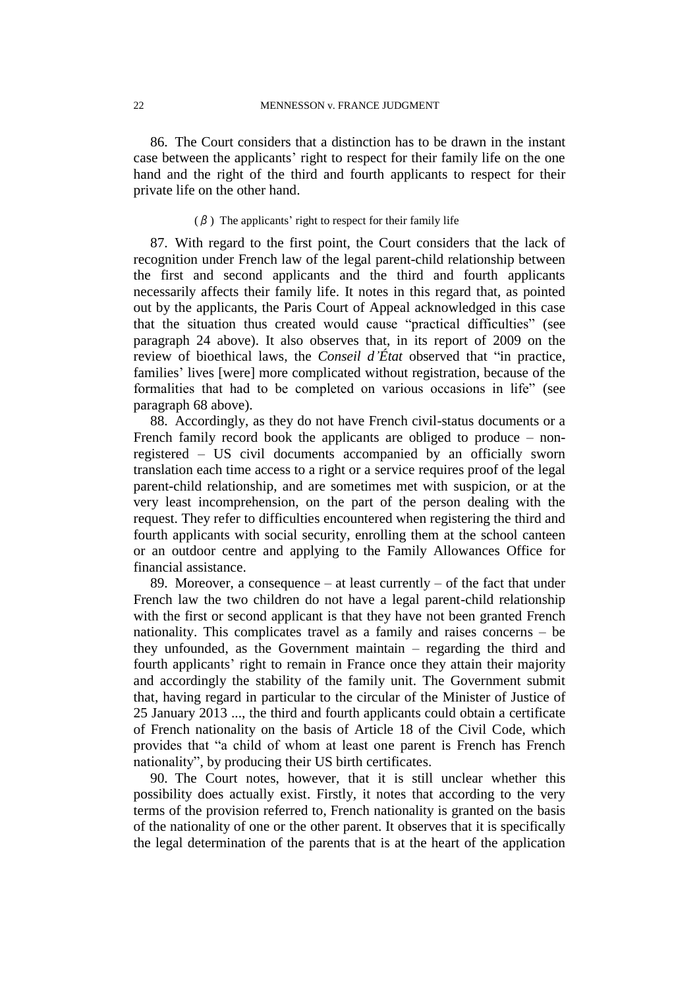86. The Court considers that a distinction has to be drawn in the instant case between the applicants' right to respect for their family life on the one hand and the right of the third and fourth applicants to respect for their private life on the other hand.

#### $(\beta)$  The applicants' right to respect for their family life

87. With regard to the first point, the Court considers that the lack of recognition under French law of the legal parent-child relationship between the first and second applicants and the third and fourth applicants necessarily affects their family life. It notes in this regard that, as pointed out by the applicants, the Paris Court of Appeal acknowledged in this case that the situation thus created would cause "practical difficulties" (see paragraph 24 above). It also observes that, in its report of 2009 on the review of bioethical laws, the *Conseil d'État* observed that "in practice, families' lives [were] more complicated without registration, because of the formalities that had to be completed on various occasions in life" (see paragraph 68 above).

88. Accordingly, as they do not have French civil-status documents or a French family record book the applicants are obliged to produce – nonregistered – US civil documents accompanied by an officially sworn translation each time access to a right or a service requires proof of the legal parent-child relationship, and are sometimes met with suspicion, or at the very least incomprehension, on the part of the person dealing with the request. They refer to difficulties encountered when registering the third and fourth applicants with social security, enrolling them at the school canteen or an outdoor centre and applying to the Family Allowances Office for financial assistance.

89. Moreover, a consequence  $-$  at least currently  $-$  of the fact that under French law the two children do not have a legal parent-child relationship with the first or second applicant is that they have not been granted French nationality. This complicates travel as a family and raises concerns – be they unfounded, as the Government maintain – regarding the third and fourth applicants' right to remain in France once they attain their majority and accordingly the stability of the family unit. The Government submit that, having regard in particular to the circular of the Minister of Justice of 25 January 2013 ..., the third and fourth applicants could obtain a certificate of French nationality on the basis of Article 18 of the Civil Code, which provides that "a child of whom at least one parent is French has French nationality", by producing their US birth certificates.

90. The Court notes, however, that it is still unclear whether this possibility does actually exist. Firstly, it notes that according to the very terms of the provision referred to, French nationality is granted on the basis of the nationality of one or the other parent. It observes that it is specifically the legal determination of the parents that is at the heart of the application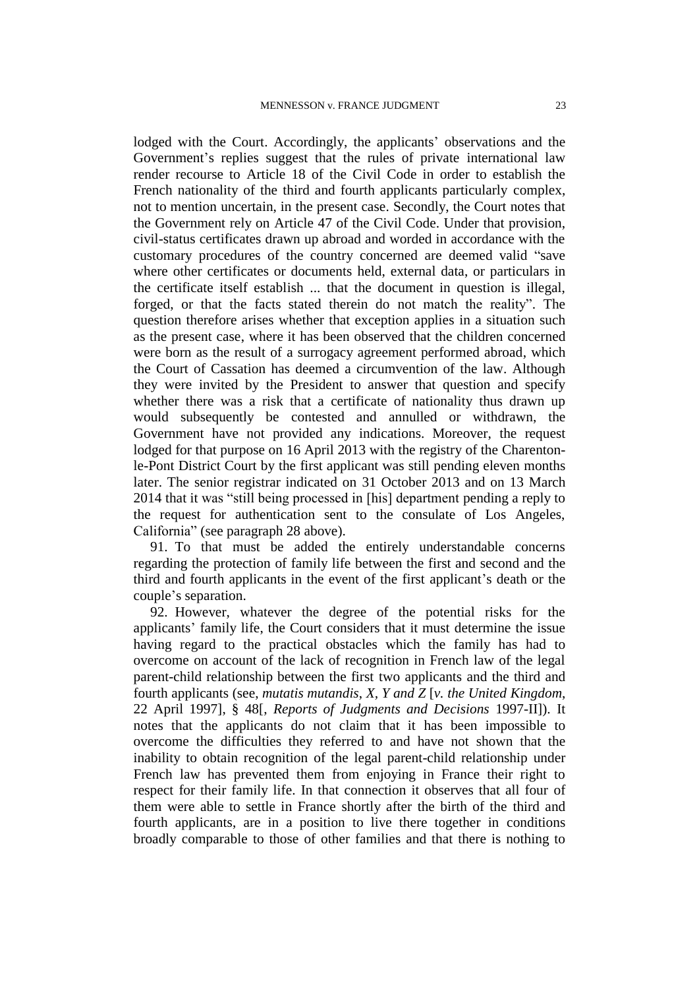lodged with the Court. Accordingly, the applicants' observations and the Government's replies suggest that the rules of private international law render recourse to Article 18 of the Civil Code in order to establish the French nationality of the third and fourth applicants particularly complex, not to mention uncertain, in the present case. Secondly, the Court notes that the Government rely on Article 47 of the Civil Code. Under that provision, civil-status certificates drawn up abroad and worded in accordance with the customary procedures of the country concerned are deemed valid "save where other certificates or documents held, external data, or particulars in the certificate itself establish ... that the document in question is illegal, forged, or that the facts stated therein do not match the reality". The question therefore arises whether that exception applies in a situation such as the present case, where it has been observed that the children concerned were born as the result of a surrogacy agreement performed abroad, which the Court of Cassation has deemed a circumvention of the law. Although they were invited by the President to answer that question and specify whether there was a risk that a certificate of nationality thus drawn up would subsequently be contested and annulled or withdrawn, the Government have not provided any indications. Moreover, the request lodged for that purpose on 16 April 2013 with the registry of the Charentonle-Pont District Court by the first applicant was still pending eleven months later. The senior registrar indicated on 31 October 2013 and on 13 March 2014 that it was "still being processed in [his] department pending a reply to the request for authentication sent to the consulate of Los Angeles, California" (see paragraph 28 above).

91. To that must be added the entirely understandable concerns regarding the protection of family life between the first and second and the third and fourth applicants in the event of the first applicant's death or the couple's separation.

92. However, whatever the degree of the potential risks for the applicants' family life, the Court considers that it must determine the issue having regard to the practical obstacles which the family has had to overcome on account of the lack of recognition in French law of the legal parent-child relationship between the first two applicants and the third and fourth applicants (see, *mutatis mutandis*, *X, Y and Z* [*v. the United Kingdom*, 22 April 1997], § 48[, *Reports of Judgments and Decisions* 1997-II]). It notes that the applicants do not claim that it has been impossible to overcome the difficulties they referred to and have not shown that the inability to obtain recognition of the legal parent-child relationship under French law has prevented them from enjoying in France their right to respect for their family life. In that connection it observes that all four of them were able to settle in France shortly after the birth of the third and fourth applicants, are in a position to live there together in conditions broadly comparable to those of other families and that there is nothing to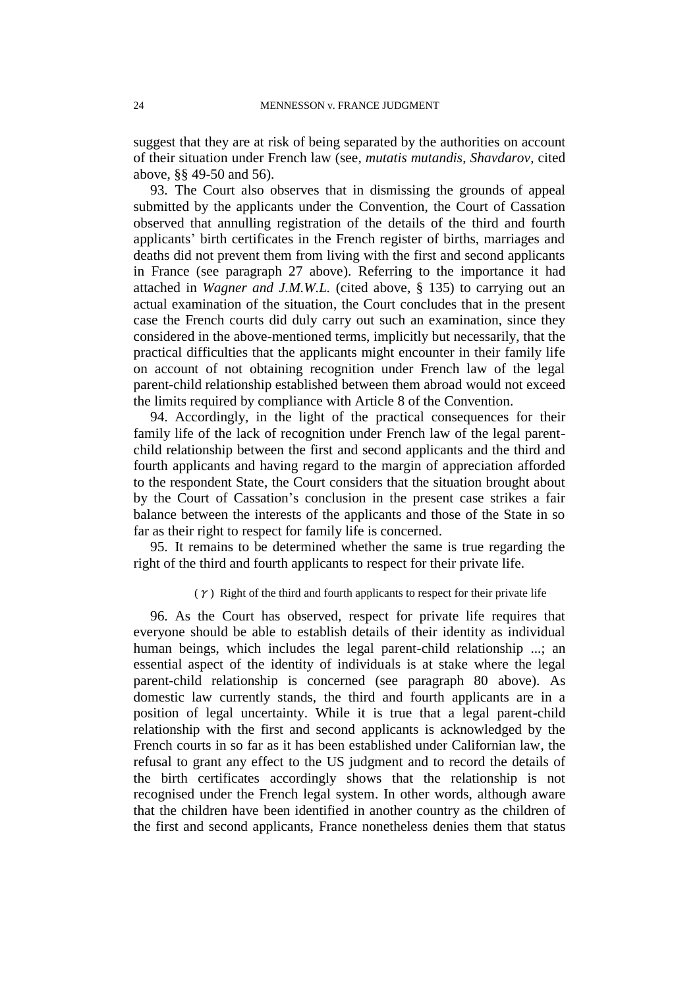suggest that they are at risk of being separated by the authorities on account of their situation under French law (see, *mutatis mutandis*, *Shavdarov*, cited above, §§ 49-50 and 56).

93. The Court also observes that in dismissing the grounds of appeal submitted by the applicants under the Convention, the Court of Cassation observed that annulling registration of the details of the third and fourth applicants' birth certificates in the French register of births, marriages and deaths did not prevent them from living with the first and second applicants in France (see paragraph 27 above). Referring to the importance it had attached in *Wagner and J.M.W.L.* (cited above, § 135) to carrying out an actual examination of the situation, the Court concludes that in the present case the French courts did duly carry out such an examination, since they considered in the above-mentioned terms, implicitly but necessarily, that the practical difficulties that the applicants might encounter in their family life on account of not obtaining recognition under French law of the legal parent-child relationship established between them abroad would not exceed the limits required by compliance with Article 8 of the Convention.

94. Accordingly, in the light of the practical consequences for their family life of the lack of recognition under French law of the legal parentchild relationship between the first and second applicants and the third and fourth applicants and having regard to the margin of appreciation afforded to the respondent State, the Court considers that the situation brought about by the Court of Cassation's conclusion in the present case strikes a fair balance between the interests of the applicants and those of the State in so far as their right to respect for family life is concerned.

95. It remains to be determined whether the same is true regarding the right of the third and fourth applicants to respect for their private life.

#### $(\gamma)$  Right of the third and fourth applicants to respect for their private life

96. As the Court has observed, respect for private life requires that everyone should be able to establish details of their identity as individual human beings, which includes the legal parent-child relationship ...; an essential aspect of the identity of individuals is at stake where the legal parent-child relationship is concerned (see paragraph 80 above). As domestic law currently stands, the third and fourth applicants are in a position of legal uncertainty. While it is true that a legal parent-child relationship with the first and second applicants is acknowledged by the French courts in so far as it has been established under Californian law, the refusal to grant any effect to the US judgment and to record the details of the birth certificates accordingly shows that the relationship is not recognised under the French legal system. In other words, although aware that the children have been identified in another country as the children of the first and second applicants, France nonetheless denies them that status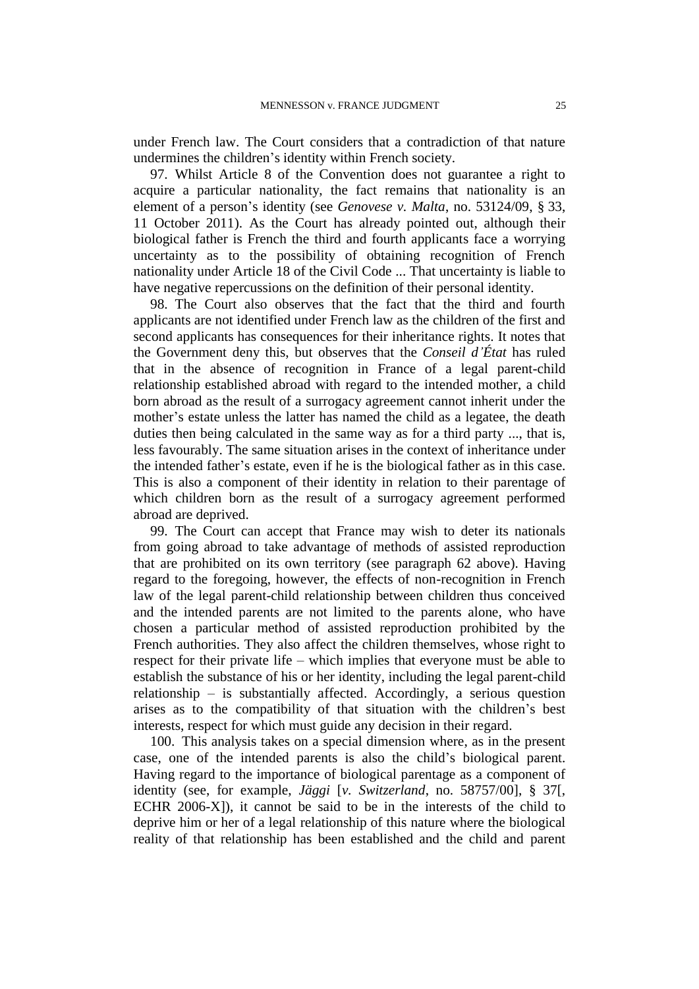under French law. The Court considers that a contradiction of that nature undermines the children's identity within French society.

97. Whilst Article 8 of the Convention does not guarantee a right to acquire a particular nationality, the fact remains that nationality is an element of a person's identity (see *Genovese v. Malta*, no. 53124/09, § 33, 11 October 2011). As the Court has already pointed out, although their biological father is French the third and fourth applicants face a worrying uncertainty as to the possibility of obtaining recognition of French nationality under Article 18 of the Civil Code ... That uncertainty is liable to have negative repercussions on the definition of their personal identity.

98. The Court also observes that the fact that the third and fourth applicants are not identified under French law as the children of the first and second applicants has consequences for their inheritance rights. It notes that the Government deny this, but observes that the *Conseil d'État* has ruled that in the absence of recognition in France of a legal parent-child relationship established abroad with regard to the intended mother, a child born abroad as the result of a surrogacy agreement cannot inherit under the mother's estate unless the latter has named the child as a legatee, the death duties then being calculated in the same way as for a third party ..., that is, less favourably. The same situation arises in the context of inheritance under the intended father's estate, even if he is the biological father as in this case. This is also a component of their identity in relation to their parentage of which children born as the result of a surrogacy agreement performed abroad are deprived.

99. The Court can accept that France may wish to deter its nationals from going abroad to take advantage of methods of assisted reproduction that are prohibited on its own territory (see paragraph 62 above). Having regard to the foregoing, however, the effects of non-recognition in French law of the legal parent-child relationship between children thus conceived and the intended parents are not limited to the parents alone, who have chosen a particular method of assisted reproduction prohibited by the French authorities. They also affect the children themselves, whose right to respect for their private life – which implies that everyone must be able to establish the substance of his or her identity, including the legal parent-child relationship – is substantially affected. Accordingly, a serious question arises as to the compatibility of that situation with the children's best interests, respect for which must guide any decision in their regard.

100. This analysis takes on a special dimension where, as in the present case, one of the intended parents is also the child's biological parent. Having regard to the importance of biological parentage as a component of identity (see, for example, *Jäggi* [*v. Switzerland*, no. 58757/00], § 37[, ECHR 2006-X]), it cannot be said to be in the interests of the child to deprive him or her of a legal relationship of this nature where the biological reality of that relationship has been established and the child and parent